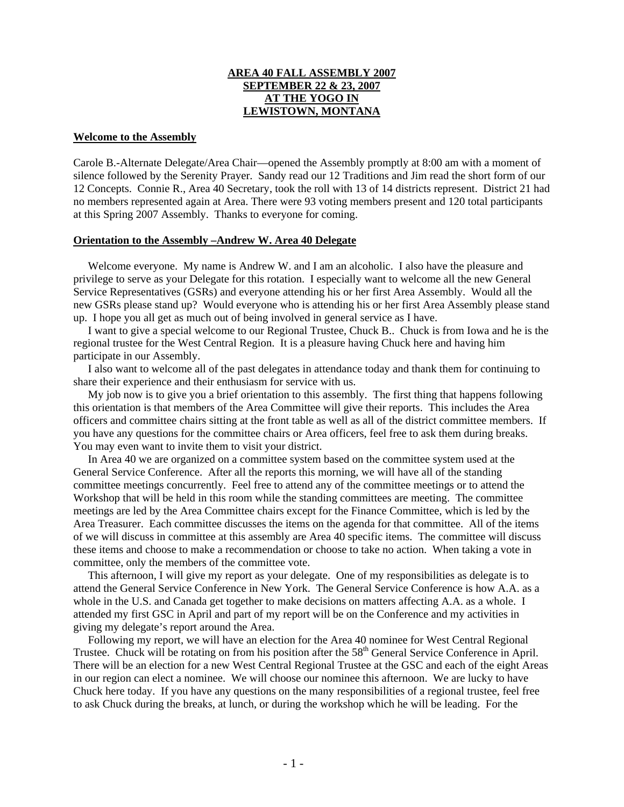# **AREA 40 FALL ASSEMBLY 2007 SEPTEMBER 22 & 23, 2007 AT THE YOGO IN LEWISTOWN, MONTANA**

### **Welcome to the Assembly**

Carole B.-Alternate Delegate/Area Chair—opened the Assembly promptly at 8:00 am with a moment of silence followed by the Serenity Prayer. Sandy read our 12 Traditions and Jim read the short form of our 12 Concepts. Connie R., Area 40 Secretary, took the roll with 13 of 14 districts represent. District 21 had no members represented again at Area. There were 93 voting members present and 120 total participants at this Spring 2007 Assembly. Thanks to everyone for coming.

#### **Orientation to the Assembly –Andrew W. Area 40 Delegate**

Welcome everyone. My name is Andrew W. and I am an alcoholic. I also have the pleasure and privilege to serve as your Delegate for this rotation. I especially want to welcome all the new General Service Representatives (GSRs) and everyone attending his or her first Area Assembly. Would all the new GSRs please stand up? Would everyone who is attending his or her first Area Assembly please stand up. I hope you all get as much out of being involved in general service as I have.

 I want to give a special welcome to our Regional Trustee, Chuck B.. Chuck is from Iowa and he is the regional trustee for the West Central Region. It is a pleasure having Chuck here and having him participate in our Assembly.

 I also want to welcome all of the past delegates in attendance today and thank them for continuing to share their experience and their enthusiasm for service with us.

 My job now is to give you a brief orientation to this assembly. The first thing that happens following this orientation is that members of the Area Committee will give their reports. This includes the Area officers and committee chairs sitting at the front table as well as all of the district committee members. If you have any questions for the committee chairs or Area officers, feel free to ask them during breaks. You may even want to invite them to visit your district.

 In Area 40 we are organized on a committee system based on the committee system used at the General Service Conference. After all the reports this morning, we will have all of the standing committee meetings concurrently. Feel free to attend any of the committee meetings or to attend the Workshop that will be held in this room while the standing committees are meeting. The committee meetings are led by the Area Committee chairs except for the Finance Committee, which is led by the Area Treasurer. Each committee discusses the items on the agenda for that committee. All of the items of we will discuss in committee at this assembly are Area 40 specific items. The committee will discuss these items and choose to make a recommendation or choose to take no action. When taking a vote in committee, only the members of the committee vote.

 This afternoon, I will give my report as your delegate. One of my responsibilities as delegate is to attend the General Service Conference in New York. The General Service Conference is how A.A. as a whole in the U.S. and Canada get together to make decisions on matters affecting A.A. as a whole. I attended my first GSC in April and part of my report will be on the Conference and my activities in giving my delegate's report around the Area.

 Following my report, we will have an election for the Area 40 nominee for West Central Regional Trustee. Chuck will be rotating on from his position after the 58<sup>th</sup> General Service Conference in April. There will be an election for a new West Central Regional Trustee at the GSC and each of the eight Areas in our region can elect a nominee. We will choose our nominee this afternoon. We are lucky to have Chuck here today. If you have any questions on the many responsibilities of a regional trustee, feel free to ask Chuck during the breaks, at lunch, or during the workshop which he will be leading. For the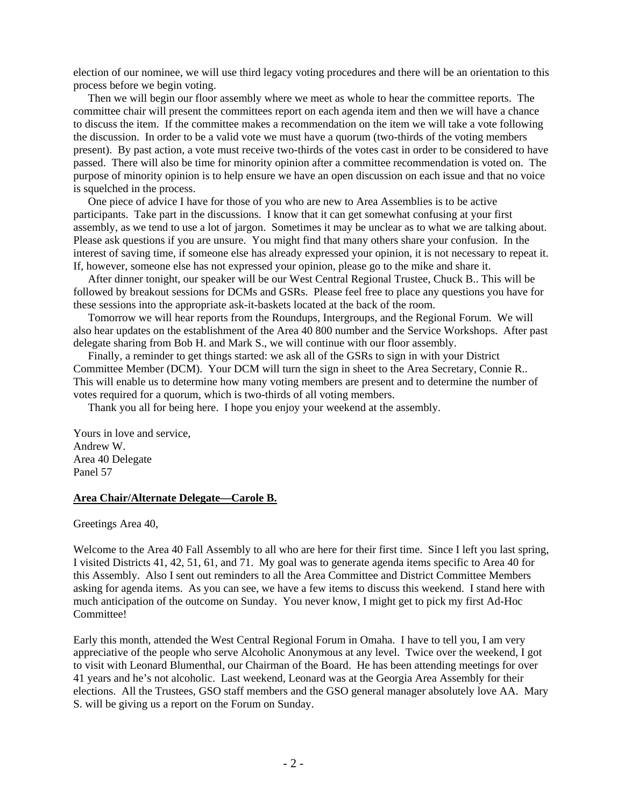election of our nominee, we will use third legacy voting procedures and there will be an orientation to this process before we begin voting.

 Then we will begin our floor assembly where we meet as whole to hear the committee reports. The committee chair will present the committees report on each agenda item and then we will have a chance to discuss the item. If the committee makes a recommendation on the item we will take a vote following the discussion. In order to be a valid vote we must have a quorum (two-thirds of the voting members present). By past action, a vote must receive two-thirds of the votes cast in order to be considered to have passed. There will also be time for minority opinion after a committee recommendation is voted on. The purpose of minority opinion is to help ensure we have an open discussion on each issue and that no voice is squelched in the process.

 One piece of advice I have for those of you who are new to Area Assemblies is to be active participants. Take part in the discussions. I know that it can get somewhat confusing at your first assembly, as we tend to use a lot of jargon. Sometimes it may be unclear as to what we are talking about. Please ask questions if you are unsure. You might find that many others share your confusion. In the interest of saving time, if someone else has already expressed your opinion, it is not necessary to repeat it. If, however, someone else has not expressed your opinion, please go to the mike and share it.

 After dinner tonight, our speaker will be our West Central Regional Trustee, Chuck B.. This will be followed by breakout sessions for DCMs and GSRs. Please feel free to place any questions you have for these sessions into the appropriate ask-it-baskets located at the back of the room.

 Tomorrow we will hear reports from the Roundups, Intergroups, and the Regional Forum. We will also hear updates on the establishment of the Area 40 800 number and the Service Workshops. After past delegate sharing from Bob H. and Mark S., we will continue with our floor assembly.

 Finally, a reminder to get things started: we ask all of the GSRs to sign in with your District Committee Member (DCM). Your DCM will turn the sign in sheet to the Area Secretary, Connie R.. This will enable us to determine how many voting members are present and to determine the number of votes required for a quorum, which is two-thirds of all voting members.

Thank you all for being here. I hope you enjoy your weekend at the assembly.

Yours in love and service, Andrew W. Area 40 Delegate Panel 57

### **Area Chair/Alternate Delegate—Carole B.**

Greetings Area 40,

Welcome to the Area 40 Fall Assembly to all who are here for their first time. Since I left you last spring, I visited Districts 41, 42, 51, 61, and 71. My goal was to generate agenda items specific to Area 40 for this Assembly. Also I sent out reminders to all the Area Committee and District Committee Members asking for agenda items. As you can see, we have a few items to discuss this weekend. I stand here with much anticipation of the outcome on Sunday. You never know, I might get to pick my first Ad-Hoc Committee!

Early this month, attended the West Central Regional Forum in Omaha. I have to tell you, I am very appreciative of the people who serve Alcoholic Anonymous at any level. Twice over the weekend, I got to visit with Leonard Blumenthal, our Chairman of the Board. He has been attending meetings for over 41 years and he's not alcoholic. Last weekend, Leonard was at the Georgia Area Assembly for their elections. All the Trustees, GSO staff members and the GSO general manager absolutely love AA. Mary S. will be giving us a report on the Forum on Sunday.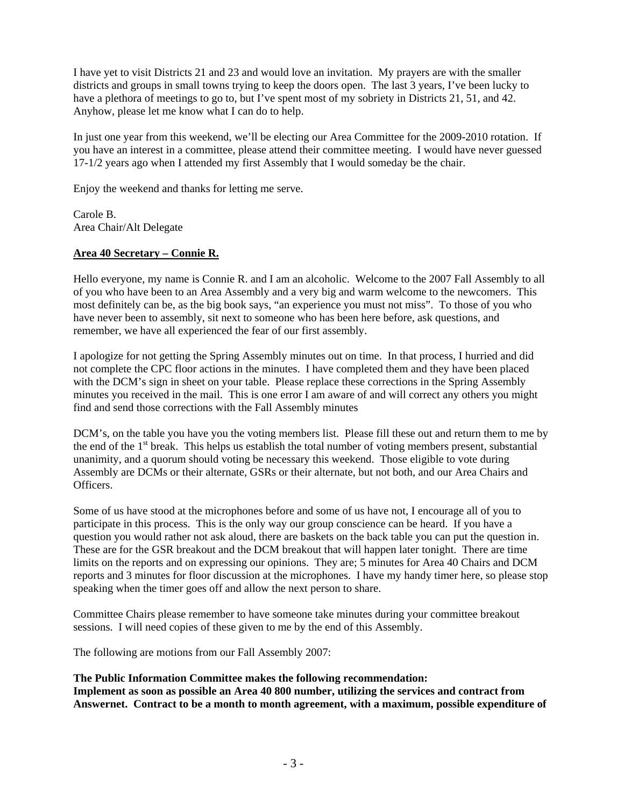I have yet to visit Districts 21 and 23 and would love an invitation. My prayers are with the smaller districts and groups in small towns trying to keep the doors open. The last 3 years, I've been lucky to have a plethora of meetings to go to, but I've spent most of my sobriety in Districts 21, 51, and 42. Anyhow, please let me know what I can do to help.

In just one year from this weekend, we'll be electing our Area Committee for the 2009-2010 rotation. If you have an interest in a committee, please attend their committee meeting. I would have never guessed 17-1/2 years ago when I attended my first Assembly that I would someday be the chair.

Enjoy the weekend and thanks for letting me serve.

Carole B. Area Chair/Alt Delegate

# **Area 40 Secretary – Connie R.**

Hello everyone, my name is Connie R. and I am an alcoholic. Welcome to the 2007 Fall Assembly to all of you who have been to an Area Assembly and a very big and warm welcome to the newcomers. This most definitely can be, as the big book says, "an experience you must not miss". To those of you who have never been to assembly, sit next to someone who has been here before, ask questions, and remember, we have all experienced the fear of our first assembly.

I apologize for not getting the Spring Assembly minutes out on time. In that process, I hurried and did not complete the CPC floor actions in the minutes. I have completed them and they have been placed with the DCM's sign in sheet on your table. Please replace these corrections in the Spring Assembly minutes you received in the mail. This is one error I am aware of and will correct any others you might find and send those corrections with the Fall Assembly minutes

DCM's, on the table you have you the voting members list. Please fill these out and return them to me by the end of the 1<sup>st</sup> break. This helps us establish the total number of voting members present, substantial unanimity, and a quorum should voting be necessary this weekend. Those eligible to vote during Assembly are DCMs or their alternate, GSRs or their alternate, but not both, and our Area Chairs and Officers.

Some of us have stood at the microphones before and some of us have not, I encourage all of you to participate in this process. This is the only way our group conscience can be heard. If you have a question you would rather not ask aloud, there are baskets on the back table you can put the question in. These are for the GSR breakout and the DCM breakout that will happen later tonight. There are time limits on the reports and on expressing our opinions. They are; 5 minutes for Area 40 Chairs and DCM reports and 3 minutes for floor discussion at the microphones. I have my handy timer here, so please stop speaking when the timer goes off and allow the next person to share.

Committee Chairs please remember to have someone take minutes during your committee breakout sessions. I will need copies of these given to me by the end of this Assembly.

The following are motions from our Fall Assembly 2007:

**The Public Information Committee makes the following recommendation: Implement as soon as possible an Area 40 800 number, utilizing the services and contract from Answernet. Contract to be a month to month agreement, with a maximum, possible expenditure of**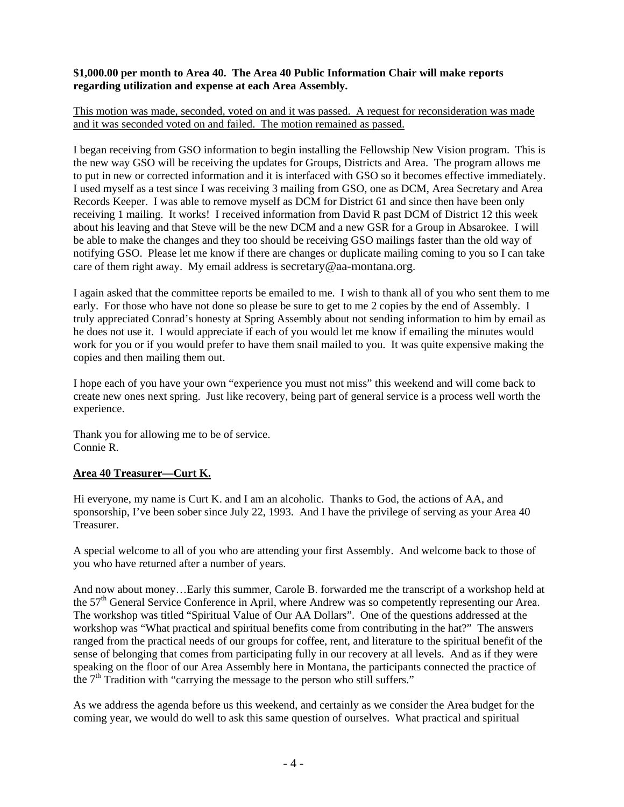# **\$1,000.00 per month to Area 40. The Area 40 Public Information Chair will make reports regarding utilization and expense at each Area Assembly.**

# This motion was made, seconded, voted on and it was passed. A request for reconsideration was made and it was seconded voted on and failed. The motion remained as passed.

I began receiving from GSO information to begin installing the Fellowship New Vision program. This is the new way GSO will be receiving the updates for Groups, Districts and Area. The program allows me to put in new or corrected information and it is interfaced with GSO so it becomes effective immediately. I used myself as a test since I was receiving 3 mailing from GSO, one as DCM, Area Secretary and Area Records Keeper. I was able to remove myself as DCM for District 61 and since then have been only receiving 1 mailing. It works! I received information from David R past DCM of District 12 this week about his leaving and that Steve will be the new DCM and a new GSR for a Group in Absarokee. I will be able to make the changes and they too should be receiving GSO mailings faster than the old way of notifying GSO. Please let me know if there are changes or duplicate mailing coming to you so I can take care of them right away. My email address is secretary@aa-montana.org.

I again asked that the committee reports be emailed to me. I wish to thank all of you who sent them to me early. For those who have not done so please be sure to get to me 2 copies by the end of Assembly. I truly appreciated Conrad's honesty at Spring Assembly about not sending information to him by email as he does not use it. I would appreciate if each of you would let me know if emailing the minutes would work for you or if you would prefer to have them snail mailed to you. It was quite expensive making the copies and then mailing them out.

I hope each of you have your own "experience you must not miss" this weekend and will come back to create new ones next spring. Just like recovery, being part of general service is a process well worth the experience.

Thank you for allowing me to be of service. Connie R.

# **Area 40 Treasurer—Curt K.**

Hi everyone, my name is Curt K. and I am an alcoholic. Thanks to God, the actions of AA, and sponsorship, I've been sober since July 22, 1993. And I have the privilege of serving as your Area 40 Treasurer.

A special welcome to all of you who are attending your first Assembly. And welcome back to those of you who have returned after a number of years.

And now about money…Early this summer, Carole B. forwarded me the transcript of a workshop held at the 57<sup>th</sup> General Service Conference in April, where Andrew was so competently representing our Area. The workshop was titled "Spiritual Value of Our AA Dollars". One of the questions addressed at the workshop was "What practical and spiritual benefits come from contributing in the hat?" The answers ranged from the practical needs of our groups for coffee, rent, and literature to the spiritual benefit of the sense of belonging that comes from participating fully in our recovery at all levels. And as if they were speaking on the floor of our Area Assembly here in Montana, the participants connected the practice of the  $7<sup>th</sup>$  Tradition with "carrying the message to the person who still suffers."

As we address the agenda before us this weekend, and certainly as we consider the Area budget for the coming year, we would do well to ask this same question of ourselves. What practical and spiritual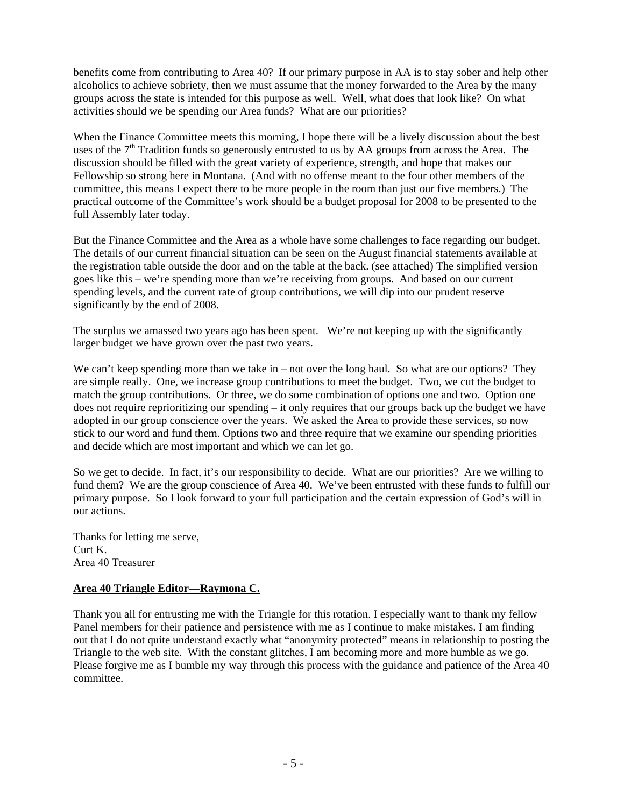benefits come from contributing to Area 40? If our primary purpose in AA is to stay sober and help other alcoholics to achieve sobriety, then we must assume that the money forwarded to the Area by the many groups across the state is intended for this purpose as well. Well, what does that look like? On what activities should we be spending our Area funds? What are our priorities?

When the Finance Committee meets this morning, I hope there will be a lively discussion about the best uses of the  $7<sup>th</sup>$  Tradition funds so generously entrusted to us by AA groups from across the Area. The discussion should be filled with the great variety of experience, strength, and hope that makes our Fellowship so strong here in Montana. (And with no offense meant to the four other members of the committee, this means I expect there to be more people in the room than just our five members.) The practical outcome of the Committee's work should be a budget proposal for 2008 to be presented to the full Assembly later today.

But the Finance Committee and the Area as a whole have some challenges to face regarding our budget. The details of our current financial situation can be seen on the August financial statements available at the registration table outside the door and on the table at the back. (see attached) The simplified version goes like this – we're spending more than we're receiving from groups. And based on our current spending levels, and the current rate of group contributions, we will dip into our prudent reserve significantly by the end of 2008.

The surplus we amassed two years ago has been spent. We're not keeping up with the significantly larger budget we have grown over the past two years.

We can't keep spending more than we take in – not over the long haul. So what are our options? They are simple really. One, we increase group contributions to meet the budget. Two, we cut the budget to match the group contributions. Or three, we do some combination of options one and two. Option one does not require reprioritizing our spending – it only requires that our groups back up the budget we have adopted in our group conscience over the years. We asked the Area to provide these services, so now stick to our word and fund them. Options two and three require that we examine our spending priorities and decide which are most important and which we can let go.

So we get to decide. In fact, it's our responsibility to decide. What are our priorities? Are we willing to fund them? We are the group conscience of Area 40. We've been entrusted with these funds to fulfill our primary purpose. So I look forward to your full participation and the certain expression of God's will in our actions.

Thanks for letting me serve, Curt K. Area 40 Treasurer

## **Area 40 Triangle Editor—Raymona C.**

Thank you all for entrusting me with the Triangle for this rotation. I especially want to thank my fellow Panel members for their patience and persistence with me as I continue to make mistakes. I am finding out that I do not quite understand exactly what "anonymity protected" means in relationship to posting the Triangle to the web site. With the constant glitches, I am becoming more and more humble as we go. Please forgive me as I bumble my way through this process with the guidance and patience of the Area 40 committee.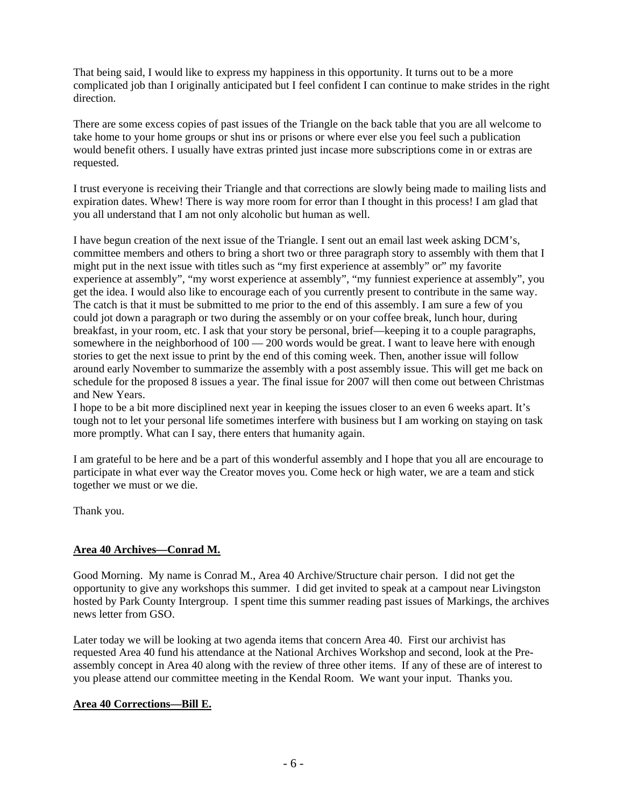That being said, I would like to express my happiness in this opportunity. It turns out to be a more complicated job than I originally anticipated but I feel confident I can continue to make strides in the right direction.

There are some excess copies of past issues of the Triangle on the back table that you are all welcome to take home to your home groups or shut ins or prisons or where ever else you feel such a publication would benefit others. I usually have extras printed just incase more subscriptions come in or extras are requested.

I trust everyone is receiving their Triangle and that corrections are slowly being made to mailing lists and expiration dates. Whew! There is way more room for error than I thought in this process! I am glad that you all understand that I am not only alcoholic but human as well.

I have begun creation of the next issue of the Triangle. I sent out an email last week asking DCM's, committee members and others to bring a short two or three paragraph story to assembly with them that I might put in the next issue with titles such as "my first experience at assembly" or" my favorite experience at assembly", "my worst experience at assembly", "my funniest experience at assembly", you get the idea. I would also like to encourage each of you currently present to contribute in the same way. The catch is that it must be submitted to me prior to the end of this assembly. I am sure a few of you could jot down a paragraph or two during the assembly or on your coffee break, lunch hour, during breakfast, in your room, etc. I ask that your story be personal, brief—keeping it to a couple paragraphs, somewhere in the neighborhood of 100 — 200 words would be great. I want to leave here with enough stories to get the next issue to print by the end of this coming week. Then, another issue will follow around early November to summarize the assembly with a post assembly issue. This will get me back on schedule for the proposed 8 issues a year. The final issue for 2007 will then come out between Christmas and New Years.

I hope to be a bit more disciplined next year in keeping the issues closer to an even 6 weeks apart. It's tough not to let your personal life sometimes interfere with business but I am working on staying on task more promptly. What can I say, there enters that humanity again.

I am grateful to be here and be a part of this wonderful assembly and I hope that you all are encourage to participate in what ever way the Creator moves you. Come heck or high water, we are a team and stick together we must or we die.

Thank you.

# **Area 40 Archives—Conrad M.**

Good Morning. My name is Conrad M., Area 40 Archive/Structure chair person. I did not get the opportunity to give any workshops this summer. I did get invited to speak at a campout near Livingston hosted by Park County Intergroup. I spent time this summer reading past issues of Markings, the archives news letter from GSO.

Later today we will be looking at two agenda items that concern Area 40. First our archivist has requested Area 40 fund his attendance at the National Archives Workshop and second, look at the Preassembly concept in Area 40 along with the review of three other items. If any of these are of interest to you please attend our committee meeting in the Kendal Room. We want your input. Thanks you.

# **Area 40 Corrections—Bill E.**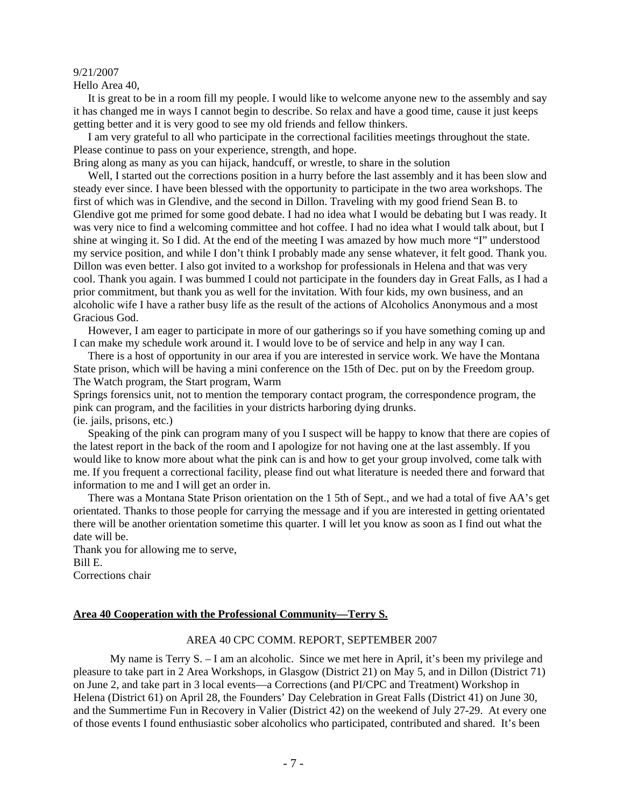#### 9/21/2007

Hello Area 40,

 It is great to be in a room fill my people. I would like to welcome anyone new to the assembly and say it has changed me in ways I cannot begin to describe. So relax and have a good time, cause it just keeps getting better and it is very good to see my old friends and fellow thinkers.

 I am very grateful to all who participate in the correctional facilities meetings throughout the state. Please continue to pass on your experience, strength, and hope.

Bring along as many as you can hijack, handcuff, or wrestle, to share in the solution

 Well, I started out the corrections position in a hurry before the last assembly and it has been slow and steady ever since. I have been blessed with the opportunity to participate in the two area workshops. The first of which was in Glendive, and the second in Dillon. Traveling with my good friend Sean B. to Glendive got me primed for some good debate. I had no idea what I would be debating but I was ready. It was very nice to find a welcoming committee and hot coffee. I had no idea what I would talk about, but I shine at winging it. So I did. At the end of the meeting I was amazed by how much more "I" understood my service position, and while I don't think I probably made any sense whatever, it felt good. Thank you. Dillon was even better. I also got invited to a workshop for professionals in Helena and that was very cool. Thank you again. I was bummed I could not participate in the founders day in Great Falls, as I had a prior commitment, but thank you as well for the invitation. With four kids, my own business, and an alcoholic wife I have a rather busy life as the result of the actions of Alcoholics Anonymous and a most Gracious God.

 However, I am eager to participate in more of our gatherings so if you have something coming up and I can make my schedule work around it. I would love to be of service and help in any way I can.

 There is a host of opportunity in our area if you are interested in service work. We have the Montana State prison, which will be having a mini conference on the 15th of Dec. put on by the Freedom group. The Watch program, the Start program, Warm

Springs forensics unit, not to mention the temporary contact program, the correspondence program, the pink can program, and the facilities in your districts harboring dying drunks. (ie. jails, prisons, etc.)

 Speaking of the pink can program many of you I suspect will be happy to know that there are copies of the latest report in the back of the room and I apologize for not having one at the last assembly. If you would like to know more about what the pink can is and how to get your group involved, come talk with me. If you frequent a correctional facility, please find out what literature is needed there and forward that information to me and I will get an order in.

 There was a Montana State Prison orientation on the 1 5th of Sept., and we had a total of five AA's get orientated. Thanks to those people for carrying the message and if you are interested in getting orientated there will be another orientation sometime this quarter. I will let you know as soon as I find out what the date will be.

Thank you for allowing me to serve, Bill E. Corrections chair

### **Area 40 Cooperation with the Professional Community—Terry S.**

### AREA 40 CPC COMM. REPORT, SEPTEMBER 2007

My name is Terry S. – I am an alcoholic. Since we met here in April, it's been my privilege and pleasure to take part in 2 Area Workshops, in Glasgow (District 21) on May 5, and in Dillon (District 71) on June 2, and take part in 3 local events—a Corrections (and PI/CPC and Treatment) Workshop in Helena (District 61) on April 28, the Founders' Day Celebration in Great Falls (District 41) on June 30, and the Summertime Fun in Recovery in Valier (District 42) on the weekend of July 27-29. At every one of those events I found enthusiastic sober alcoholics who participated, contributed and shared. It's been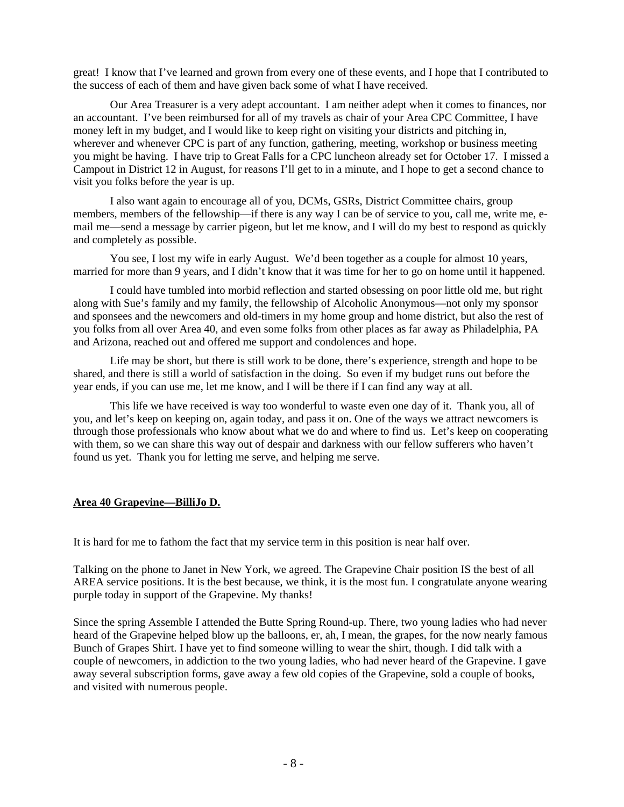great! I know that I've learned and grown from every one of these events, and I hope that I contributed to the success of each of them and have given back some of what I have received.

Our Area Treasurer is a very adept accountant. I am neither adept when it comes to finances, nor an accountant. I've been reimbursed for all of my travels as chair of your Area CPC Committee, I have money left in my budget, and I would like to keep right on visiting your districts and pitching in, wherever and whenever CPC is part of any function, gathering, meeting, workshop or business meeting you might be having. I have trip to Great Falls for a CPC luncheon already set for October 17. I missed a Campout in District 12 in August, for reasons I'll get to in a minute, and I hope to get a second chance to visit you folks before the year is up.

I also want again to encourage all of you, DCMs, GSRs, District Committee chairs, group members, members of the fellowship—if there is any way I can be of service to you, call me, write me, email me—send a message by carrier pigeon, but let me know, and I will do my best to respond as quickly and completely as possible.

You see, I lost my wife in early August. We'd been together as a couple for almost 10 years, married for more than 9 years, and I didn't know that it was time for her to go on home until it happened.

I could have tumbled into morbid reflection and started obsessing on poor little old me, but right along with Sue's family and my family, the fellowship of Alcoholic Anonymous—not only my sponsor and sponsees and the newcomers and old-timers in my home group and home district, but also the rest of you folks from all over Area 40, and even some folks from other places as far away as Philadelphia, PA and Arizona, reached out and offered me support and condolences and hope.

Life may be short, but there is still work to be done, there's experience, strength and hope to be shared, and there is still a world of satisfaction in the doing. So even if my budget runs out before the year ends, if you can use me, let me know, and I will be there if I can find any way at all.

This life we have received is way too wonderful to waste even one day of it. Thank you, all of you, and let's keep on keeping on, again today, and pass it on. One of the ways we attract newcomers is through those professionals who know about what we do and where to find us. Let's keep on cooperating with them, so we can share this way out of despair and darkness with our fellow sufferers who haven't found us yet. Thank you for letting me serve, and helping me serve.

## **Area 40 Grapevine—BilliJo D.**

It is hard for me to fathom the fact that my service term in this position is near half over.

Talking on the phone to Janet in New York, we agreed. The Grapevine Chair position IS the best of all AREA service positions. It is the best because, we think, it is the most fun. I congratulate anyone wearing purple today in support of the Grapevine. My thanks!

Since the spring Assemble I attended the Butte Spring Round-up. There, two young ladies who had never heard of the Grapevine helped blow up the balloons, er, ah, I mean, the grapes, for the now nearly famous Bunch of Grapes Shirt. I have yet to find someone willing to wear the shirt, though. I did talk with a couple of newcomers, in addiction to the two young ladies, who had never heard of the Grapevine. I gave away several subscription forms, gave away a few old copies of the Grapevine, sold a couple of books, and visited with numerous people.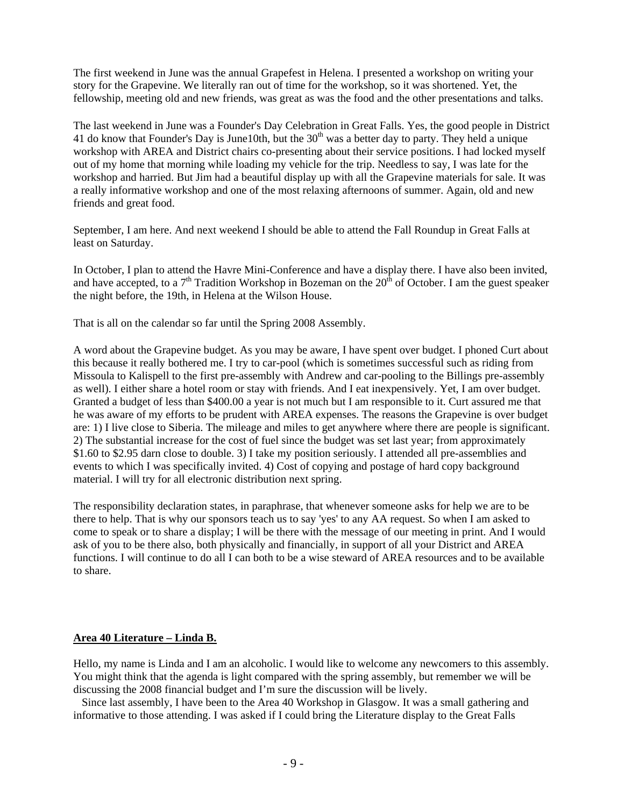The first weekend in June was the annual Grapefest in Helena. I presented a workshop on writing your story for the Grapevine. We literally ran out of time for the workshop, so it was shortened. Yet, the fellowship, meeting old and new friends, was great as was the food and the other presentations and talks.

The last weekend in June was a Founder's Day Celebration in Great Falls. Yes, the good people in District 41 do know that Founder's Day is June10th, but the  $30<sup>th</sup>$  was a better day to party. They held a unique workshop with AREA and District chairs co-presenting about their service positions. I had locked myself out of my home that morning while loading my vehicle for the trip. Needless to say, I was late for the workshop and harried. But Jim had a beautiful display up with all the Grapevine materials for sale. It was a really informative workshop and one of the most relaxing afternoons of summer. Again, old and new friends and great food.

September, I am here. And next weekend I should be able to attend the Fall Roundup in Great Falls at least on Saturday.

In October, I plan to attend the Havre Mini-Conference and have a display there. I have also been invited, and have accepted, to a  $7<sup>th</sup>$  Tradition Workshop in Bozeman on the  $20<sup>th</sup>$  of October. I am the guest speaker the night before, the 19th, in Helena at the Wilson House.

That is all on the calendar so far until the Spring 2008 Assembly.

A word about the Grapevine budget. As you may be aware, I have spent over budget. I phoned Curt about this because it really bothered me. I try to car-pool (which is sometimes successful such as riding from Missoula to Kalispell to the first pre-assembly with Andrew and car-pooling to the Billings pre-assembly as well). I either share a hotel room or stay with friends. And I eat inexpensively. Yet, I am over budget. Granted a budget of less than \$400.00 a year is not much but I am responsible to it. Curt assured me that he was aware of my efforts to be prudent with AREA expenses. The reasons the Grapevine is over budget are: 1) I live close to Siberia. The mileage and miles to get anywhere where there are people is significant. 2) The substantial increase for the cost of fuel since the budget was set last year; from approximately \$1.60 to \$2.95 darn close to double. 3) I take my position seriously. I attended all pre-assemblies and events to which I was specifically invited. 4) Cost of copying and postage of hard copy background material. I will try for all electronic distribution next spring.

The responsibility declaration states, in paraphrase, that whenever someone asks for help we are to be there to help. That is why our sponsors teach us to say 'yes' to any AA request. So when I am asked to come to speak or to share a display; I will be there with the message of our meeting in print. And I would ask of you to be there also, both physically and financially, in support of all your District and AREA functions. I will continue to do all I can both to be a wise steward of AREA resources and to be available to share.

## **Area 40 Literature – Linda B.**

Hello, my name is Linda and I am an alcoholic. I would like to welcome any newcomers to this assembly. You might think that the agenda is light compared with the spring assembly, but remember we will be discussing the 2008 financial budget and I'm sure the discussion will be lively.

 Since last assembly, I have been to the Area 40 Workshop in Glasgow. It was a small gathering and informative to those attending. I was asked if I could bring the Literature display to the Great Falls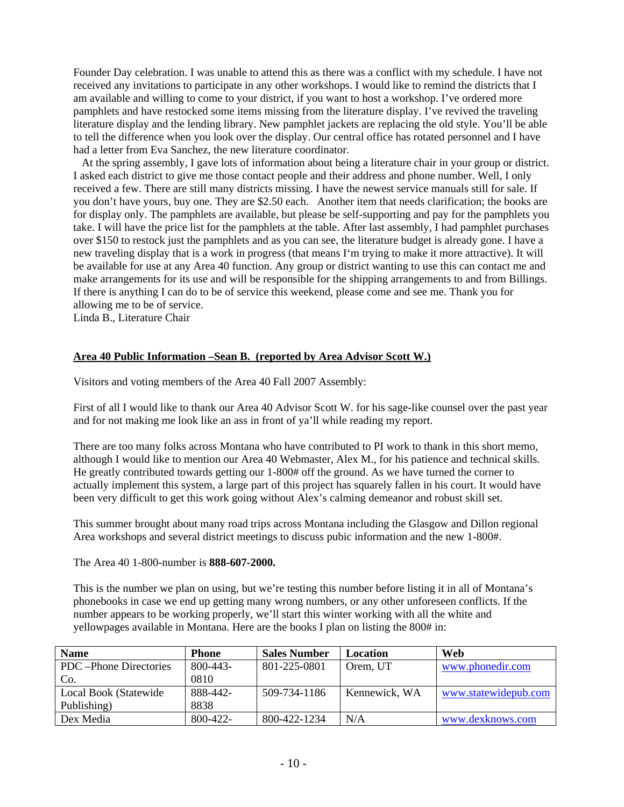Founder Day celebration. I was unable to attend this as there was a conflict with my schedule. I have not received any invitations to participate in any other workshops. I would like to remind the districts that I am available and willing to come to your district, if you want to host a workshop. I've ordered more pamphlets and have restocked some items missing from the literature display. I've revived the traveling literature display and the lending library. New pamphlet jackets are replacing the old style. You'll be able to tell the difference when you look over the display. Our central office has rotated personnel and I have had a letter from Eva Sanchez, the new literature coordinator.

 At the spring assembly, I gave lots of information about being a literature chair in your group or district. I asked each district to give me those contact people and their address and phone number. Well, I only received a few. There are still many districts missing. I have the newest service manuals still for sale. If you don't have yours, buy one. They are \$2.50 each. Another item that needs clarification; the books are for display only. The pamphlets are available, but please be self-supporting and pay for the pamphlets you take. I will have the price list for the pamphlets at the table. After last assembly, I had pamphlet purchases over \$150 to restock just the pamphlets and as you can see, the literature budget is already gone. I have a new traveling display that is a work in progress (that means I'm trying to make it more attractive). It will be available for use at any Area 40 function. Any group or district wanting to use this can contact me and make arrangements for its use and will be responsible for the shipping arrangements to and from Billings. If there is anything I can do to be of service this weekend, please come and see me. Thank you for allowing me to be of service.

Linda B., Literature Chair

## **Area 40 Public Information –Sean B. (reported by Area Advisor Scott W.)**

Visitors and voting members of the Area 40 Fall 2007 Assembly:

First of all I would like to thank our Area 40 Advisor Scott W. for his sage-like counsel over the past year and for not making me look like an ass in front of ya'll while reading my report.

There are too many folks across Montana who have contributed to PI work to thank in this short memo, although I would like to mention our Area 40 Webmaster, Alex M., for his patience and technical skills. He greatly contributed towards getting our 1-800# off the ground. As we have turned the corner to actually implement this system, a large part of this project has squarely fallen in his court. It would have been very difficult to get this work going without Alex's calming demeanor and robust skill set.

This summer brought about many road trips across Montana including the Glasgow and Dillon regional Area workshops and several district meetings to discuss pubic information and the new 1-800#.

The Area 40 1-800-number is **888-607-2000.** 

This is the number we plan on using, but we're testing this number before listing it in all of Montana's phonebooks in case we end up getting many wrong numbers, or any other unforeseen conflicts. If the number appears to be working properly, we'll start this winter working with all the white and yellowpages available in Montana. Here are the books I plan on listing the 800# in:

| <b>Name</b>             | <b>Phone</b> | <b>Sales Number</b> | Location      | Web                  |
|-------------------------|--------------|---------------------|---------------|----------------------|
| PDC – Phone Directories | 800-443-     | 801-225-0801        | Orem, UT      | www.phonedir.com     |
| Co.                     | 0810         |                     |               |                      |
| Local Book (Statewide   | 888-442-     | 509-734-1186        | Kennewick, WA | www.statewidepub.com |
| Publishing)             | 8838         |                     |               |                      |
| Dex Media               | 800-422-     | 800-422-1234        | N/A           | www.dexknows.com     |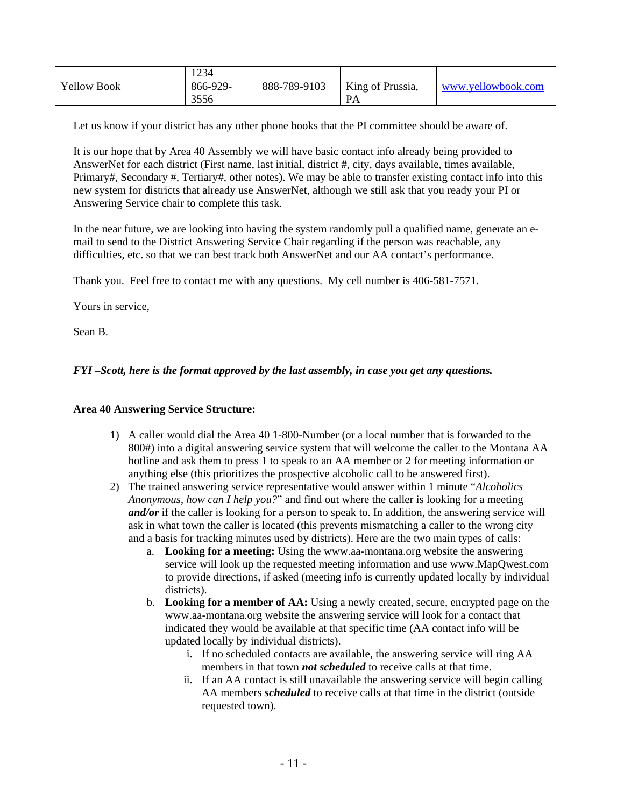|                    | 1234     |              |                  |                    |
|--------------------|----------|--------------|------------------|--------------------|
| <b>Yellow Book</b> | 866-929- | 888-789-9103 | King of Prussia, | www.yellowbook.com |
|                    | 3556     |              | <b>PA</b>        |                    |

Let us know if your district has any other phone books that the PI committee should be aware of.

It is our hope that by Area 40 Assembly we will have basic contact info already being provided to AnswerNet for each district (First name, last initial, district #, city, days available, times available, Primary#, Secondary #, Tertiary#, other notes). We may be able to transfer existing contact info into this new system for districts that already use AnswerNet, although we still ask that you ready your PI or Answering Service chair to complete this task.

In the near future, we are looking into having the system randomly pull a qualified name, generate an email to send to the District Answering Service Chair regarding if the person was reachable, any difficulties, etc. so that we can best track both AnswerNet and our AA contact's performance.

Thank you. Feel free to contact me with any questions. My cell number is 406-581-7571.

Yours in service,

Sean B.

# *FYI –Scott, here is the format approved by the last assembly, in case you get any questions.*

## **Area 40 Answering Service Structure:**

- 1) A caller would dial the Area 40 1-800-Number (or a local number that is forwarded to the 800#) into a digital answering service system that will welcome the caller to the Montana AA hotline and ask them to press 1 to speak to an AA member or 2 for meeting information or anything else (this prioritizes the prospective alcoholic call to be answered first).
- 2) The trained answering service representative would answer within 1 minute "*Alcoholics Anonymous, how can I help you?*" and find out where the caller is looking for a meeting *and/or* if the caller is looking for a person to speak to. In addition, the answering service will ask in what town the caller is located (this prevents mismatching a caller to the wrong city and a basis for tracking minutes used by districts). Here are the two main types of calls:
	- a. **Looking for a meeting:** Using the www.aa-montana.org website the answering service will look up the requested meeting information and use www.MapQwest.com to provide directions, if asked (meeting info is currently updated locally by individual districts).
	- b. **Looking for a member of AA:** Using a newly created, secure, encrypted page on the www.aa-montana.org website the answering service will look for a contact that indicated they would be available at that specific time (AA contact info will be updated locally by individual districts).
		- i. If no scheduled contacts are available, the answering service will ring AA members in that town *not scheduled* to receive calls at that time.
		- ii. If an AA contact is still unavailable the answering service will begin calling AA members *scheduled* to receive calls at that time in the district (outside requested town).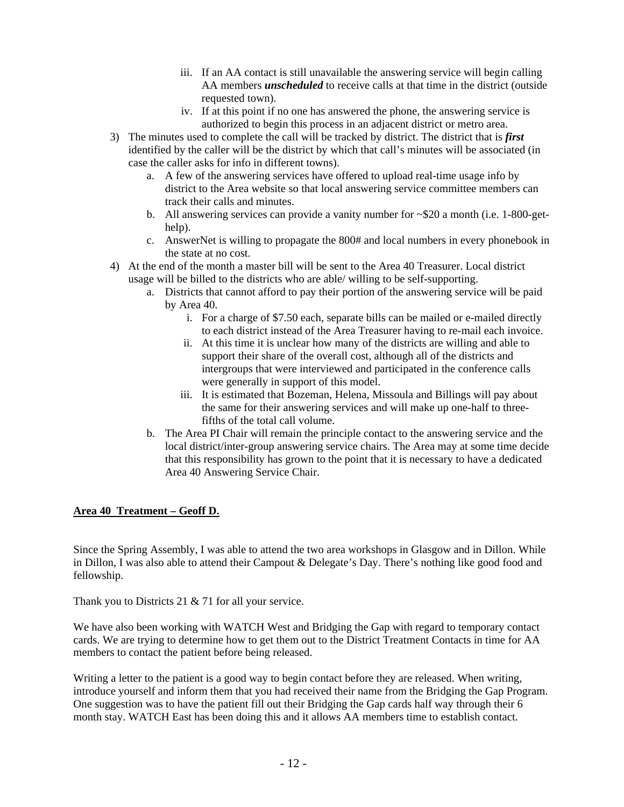- iii. If an AA contact is still unavailable the answering service will begin calling AA members *unscheduled* to receive calls at that time in the district (outside requested town).
- iv. If at this point if no one has answered the phone, the answering service is authorized to begin this process in an adjacent district or metro area.
- 3) The minutes used to complete the call will be tracked by district. The district that is *first*  identified by the caller will be the district by which that call's minutes will be associated (in case the caller asks for info in different towns).
	- a. A few of the answering services have offered to upload real-time usage info by district to the Area website so that local answering service committee members can track their calls and minutes.
	- b. All answering services can provide a vanity number for  $\sim$ \$20 a month (i.e. 1-800-gethelp).
	- c. AnswerNet is willing to propagate the 800# and local numbers in every phonebook in the state at no cost.
- 4) At the end of the month a master bill will be sent to the Area 40 Treasurer. Local district usage will be billed to the districts who are able/ willing to be self-supporting.
	- a. Districts that cannot afford to pay their portion of the answering service will be paid by Area 40.
		- i. For a charge of \$7.50 each, separate bills can be mailed or e-mailed directly to each district instead of the Area Treasurer having to re-mail each invoice.
		- ii. At this time it is unclear how many of the districts are willing and able to support their share of the overall cost, although all of the districts and intergroups that were interviewed and participated in the conference calls were generally in support of this model.
		- iii. It is estimated that Bozeman, Helena, Missoula and Billings will pay about the same for their answering services and will make up one-half to threefifths of the total call volume.
	- b. The Area PI Chair will remain the principle contact to the answering service and the local district/inter-group answering service chairs. The Area may at some time decide that this responsibility has grown to the point that it is necessary to have a dedicated Area 40 Answering Service Chair.

# **Area 40 Treatment – Geoff D.**

Since the Spring Assembly, I was able to attend the two area workshops in Glasgow and in Dillon. While in Dillon, I was also able to attend their Campout & Delegate's Day. There's nothing like good food and fellowship.

Thank you to Districts 21  $& 71$  for all your service.

We have also been working with WATCH West and Bridging the Gap with regard to temporary contact cards. We are trying to determine how to get them out to the District Treatment Contacts in time for AA members to contact the patient before being released.

Writing a letter to the patient is a good way to begin contact before they are released. When writing, introduce yourself and inform them that you had received their name from the Bridging the Gap Program. One suggestion was to have the patient fill out their Bridging the Gap cards half way through their 6 month stay. WATCH East has been doing this and it allows AA members time to establish contact.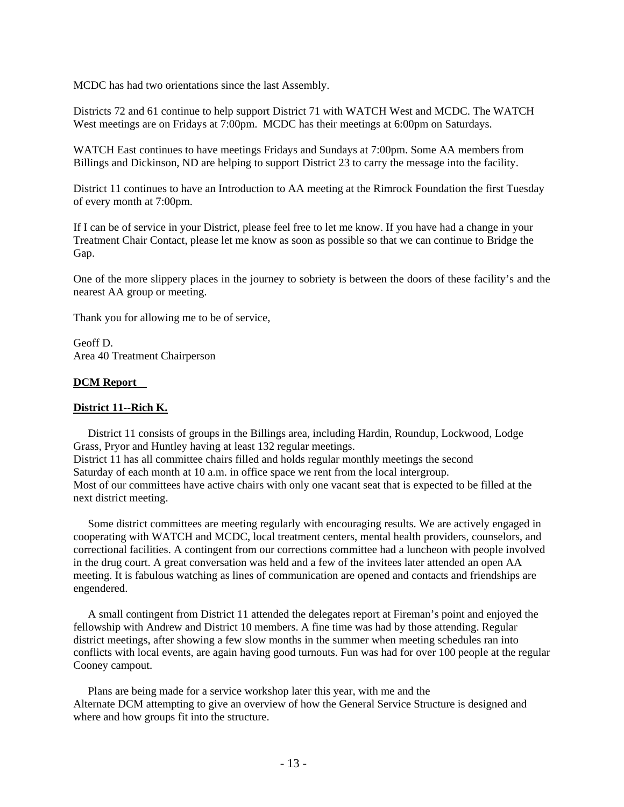MCDC has had two orientations since the last Assembly.

Districts 72 and 61 continue to help support District 71 with WATCH West and MCDC. The WATCH West meetings are on Fridays at 7:00pm. MCDC has their meetings at 6:00pm on Saturdays.

WATCH East continues to have meetings Fridays and Sundays at 7:00pm. Some AA members from Billings and Dickinson, ND are helping to support District 23 to carry the message into the facility.

District 11 continues to have an Introduction to AA meeting at the Rimrock Foundation the first Tuesday of every month at 7:00pm.

If I can be of service in your District, please feel free to let me know. If you have had a change in your Treatment Chair Contact, please let me know as soon as possible so that we can continue to Bridge the Gap.

One of the more slippery places in the journey to sobriety is between the doors of these facility's and the nearest AA group or meeting.

Thank you for allowing me to be of service,

Geoff D. Area 40 Treatment Chairperson

### **DCM Report**

### **District 11--Rich K.**

 District 11 consists of groups in the Billings area, including Hardin, Roundup, Lockwood, Lodge Grass, Pryor and Huntley having at least 132 regular meetings. District 11 has all committee chairs filled and holds regular monthly meetings the second Saturday of each month at 10 a.m. in office space we rent from the local intergroup. Most of our committees have active chairs with only one vacant seat that is expected to be filled at the next district meeting.

 Some district committees are meeting regularly with encouraging results. We are actively engaged in cooperating with WATCH and MCDC, local treatment centers, mental health providers, counselors, and correctional facilities. A contingent from our corrections committee had a luncheon with people involved in the drug court. A great conversation was held and a few of the invitees later attended an open AA meeting. It is fabulous watching as lines of communication are opened and contacts and friendships are engendered.

 A small contingent from District 11 attended the delegates report at Fireman's point and enjoyed the fellowship with Andrew and District 10 members. A fine time was had by those attending. Regular district meetings, after showing a few slow months in the summer when meeting schedules ran into conflicts with local events, are again having good turnouts. Fun was had for over 100 people at the regular Cooney campout.

 Plans are being made for a service workshop later this year, with me and the Alternate DCM attempting to give an overview of how the General Service Structure is designed and where and how groups fit into the structure.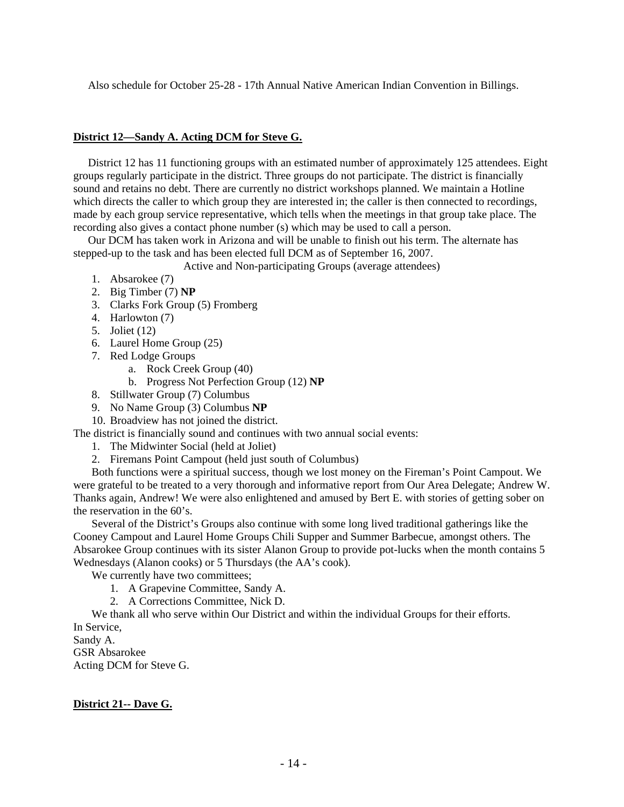Also schedule for October 25-28 - 17th Annual Native American Indian Convention in Billings.

# **District 12—Sandy A. Acting DCM for Steve G.**

 District 12 has 11 functioning groups with an estimated number of approximately 125 attendees. Eight groups regularly participate in the district. Three groups do not participate. The district is financially sound and retains no debt. There are currently no district workshops planned. We maintain a Hotline which directs the caller to which group they are interested in; the caller is then connected to recordings, made by each group service representative, which tells when the meetings in that group take place. The recording also gives a contact phone number (s) which may be used to call a person.

 Our DCM has taken work in Arizona and will be unable to finish out his term. The alternate has stepped-up to the task and has been elected full DCM as of September 16, 2007.

Active and Non-participating Groups (average attendees)

- 1. Absarokee (7)
- 2. Big Timber (7) **NP**
- 3. Clarks Fork Group (5) Fromberg
- 4. Harlowton (7)
- 5. Joliet (12)
- 6. Laurel Home Group (25)
- 7. Red Lodge Groups
	- a. Rock Creek Group (40)
	- b. Progress Not Perfection Group (12) **NP**
- 8. Stillwater Group (7) Columbus
- 9. No Name Group (3) Columbus **NP**

10. Broadview has not joined the district.

The district is financially sound and continues with two annual social events:

- 1. The Midwinter Social (held at Joliet)
- 2. Firemans Point Campout (held just south of Columbus)

Both functions were a spiritual success, though we lost money on the Fireman's Point Campout. We were grateful to be treated to a very thorough and informative report from Our Area Delegate; Andrew W. Thanks again, Andrew! We were also enlightened and amused by Bert E. with stories of getting sober on the reservation in the 60's.

Several of the District's Groups also continue with some long lived traditional gatherings like the Cooney Campout and Laurel Home Groups Chili Supper and Summer Barbecue, amongst others. The Absarokee Group continues with its sister Alanon Group to provide pot-lucks when the month contains 5 Wednesdays (Alanon cooks) or 5 Thursdays (the AA's cook).

We currently have two committees;

- 1. A Grapevine Committee, Sandy A.
- 2. A Corrections Committee, Nick D.

We thank all who serve within Our District and within the individual Groups for their efforts. In Service,

Sandy A. GSR Absarokee Acting DCM for Steve G.

# **District 21-- Dave G.**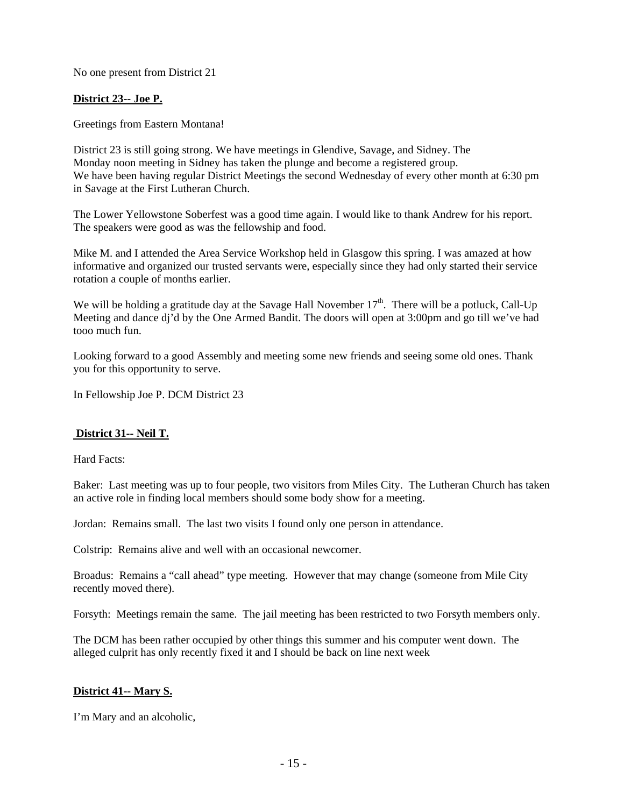No one present from District 21

# **District 23-- Joe P.**

Greetings from Eastern Montana!

District 23 is still going strong. We have meetings in Glendive, Savage, and Sidney. The Monday noon meeting in Sidney has taken the plunge and become a registered group. We have been having regular District Meetings the second Wednesday of every other month at 6:30 pm in Savage at the First Lutheran Church.

The Lower Yellowstone Soberfest was a good time again. I would like to thank Andrew for his report. The speakers were good as was the fellowship and food.

Mike M. and I attended the Area Service Workshop held in Glasgow this spring. I was amazed at how informative and organized our trusted servants were, especially since they had only started their service rotation a couple of months earlier.

We will be holding a gratitude day at the Savage Hall November  $17<sup>th</sup>$ . There will be a potluck, Call-Up Meeting and dance dj'd by the One Armed Bandit. The doors will open at 3:00pm and go till we've had tooo much fun.

Looking forward to a good Assembly and meeting some new friends and seeing some old ones. Thank you for this opportunity to serve.

In Fellowship Joe P. DCM District 23

## **District 31-- Neil T.**

Hard Facts:

Baker: Last meeting was up to four people, two visitors from Miles City. The Lutheran Church has taken an active role in finding local members should some body show for a meeting.

Jordan: Remains small. The last two visits I found only one person in attendance.

Colstrip: Remains alive and well with an occasional newcomer.

Broadus: Remains a "call ahead" type meeting. However that may change (someone from Mile City recently moved there).

Forsyth: Meetings remain the same. The jail meeting has been restricted to two Forsyth members only.

The DCM has been rather occupied by other things this summer and his computer went down. The alleged culprit has only recently fixed it and I should be back on line next week

## **District 41-- Mary S.**

I'm Mary and an alcoholic,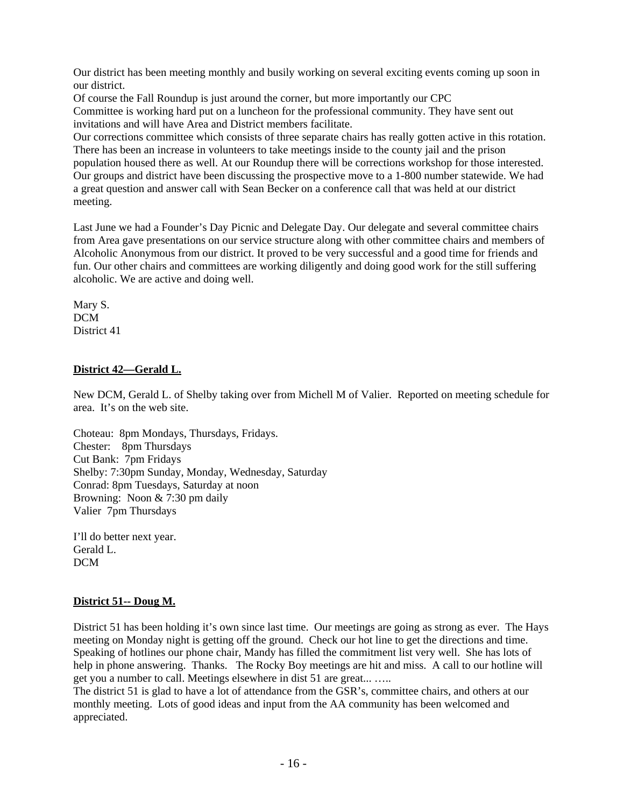Our district has been meeting monthly and busily working on several exciting events coming up soon in our district.

Of course the Fall Roundup is just around the corner, but more importantly our CPC Committee is working hard put on a luncheon for the professional community. They have sent out invitations and will have Area and District members facilitate.

Our corrections committee which consists of three separate chairs has really gotten active in this rotation. There has been an increase in volunteers to take meetings inside to the county jail and the prison population housed there as well. At our Roundup there will be corrections workshop for those interested. Our groups and district have been discussing the prospective move to a 1-800 number statewide. We had a great question and answer call with Sean Becker on a conference call that was held at our district meeting.

Last June we had a Founder's Day Picnic and Delegate Day. Our delegate and several committee chairs from Area gave presentations on our service structure along with other committee chairs and members of Alcoholic Anonymous from our district. It proved to be very successful and a good time for friends and fun. Our other chairs and committees are working diligently and doing good work for the still suffering alcoholic. We are active and doing well.

Mary S. DCM District 41

# **District 42—Gerald L.**

New DCM, Gerald L. of Shelby taking over from Michell M of Valier. Reported on meeting schedule for area. It's on the web site.

Choteau: 8pm Mondays, Thursdays, Fridays. Chester: 8pm Thursdays Cut Bank: 7pm Fridays Shelby: 7:30pm Sunday, Monday, Wednesday, Saturday Conrad: 8pm Tuesdays, Saturday at noon Browning: Noon & 7:30 pm daily Valier 7pm Thursdays

I'll do better next year. Gerald L. DCM

## **District 51-- Doug M.**

District 51 has been holding it's own since last time. Our meetings are going as strong as ever. The Hays meeting on Monday night is getting off the ground. Check our hot line to get the directions and time. Speaking of hotlines our phone chair, Mandy has filled the commitment list very well. She has lots of help in phone answering. Thanks. The Rocky Boy meetings are hit and miss. A call to our hotline will get you a number to call. Meetings elsewhere in dist 51 are great... …..

The district 51 is glad to have a lot of attendance from the GSR's, committee chairs, and others at our monthly meeting. Lots of good ideas and input from the AA community has been welcomed and appreciated.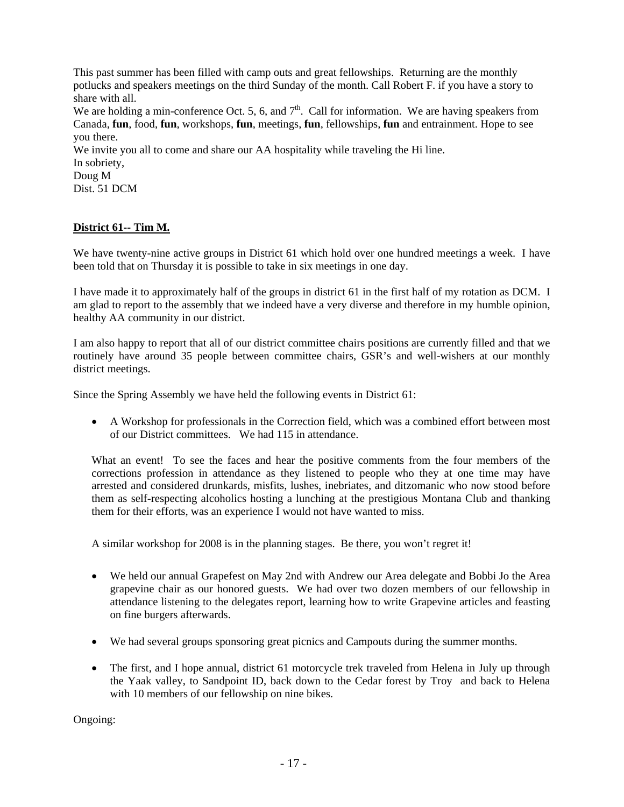This past summer has been filled with camp outs and great fellowships. Returning are the monthly potlucks and speakers meetings on the third Sunday of the month. Call Robert F. if you have a story to share with all.

We are holding a min-conference Oct. 5, 6, and  $7<sup>th</sup>$ . Call for information. We are having speakers from Canada, **fun**, food, **fun**, workshops, **fun**, meetings, **fun**, fellowships, **fun** and entrainment. Hope to see you there.

We invite you all to come and share our AA hospitality while traveling the Hi line. In sobriety, Doug M

Dist. 51 DCM

# **District 61-- Tim M.**

We have twenty-nine active groups in District 61 which hold over one hundred meetings a week. I have been told that on Thursday it is possible to take in six meetings in one day.

I have made it to approximately half of the groups in district 61 in the first half of my rotation as DCM. I am glad to report to the assembly that we indeed have a very diverse and therefore in my humble opinion, healthy AA community in our district.

I am also happy to report that all of our district committee chairs positions are currently filled and that we routinely have around 35 people between committee chairs, GSR's and well-wishers at our monthly district meetings.

Since the Spring Assembly we have held the following events in District 61:

• A Workshop for professionals in the Correction field, which was a combined effort between most of our District committees. We had 115 in attendance.

What an event! To see the faces and hear the positive comments from the four members of the corrections profession in attendance as they listened to people who they at one time may have arrested and considered drunkards, misfits, lushes, inebriates, and ditzomanic who now stood before them as self-respecting alcoholics hosting a lunching at the prestigious Montana Club and thanking them for their efforts, was an experience I would not have wanted to miss.

A similar workshop for 2008 is in the planning stages. Be there, you won't regret it!

- We held our annual Grapefest on May 2nd with Andrew our Area delegate and Bobbi Jo the Area grapevine chair as our honored guests. We had over two dozen members of our fellowship in attendance listening to the delegates report, learning how to write Grapevine articles and feasting on fine burgers afterwards.
- We had several groups sponsoring great picnics and Campouts during the summer months.
- The first, and I hope annual, district 61 motorcycle trek traveled from Helena in July up through the Yaak valley, to Sandpoint ID, back down to the Cedar forest by Troy and back to Helena with 10 members of our fellowship on nine bikes.

Ongoing: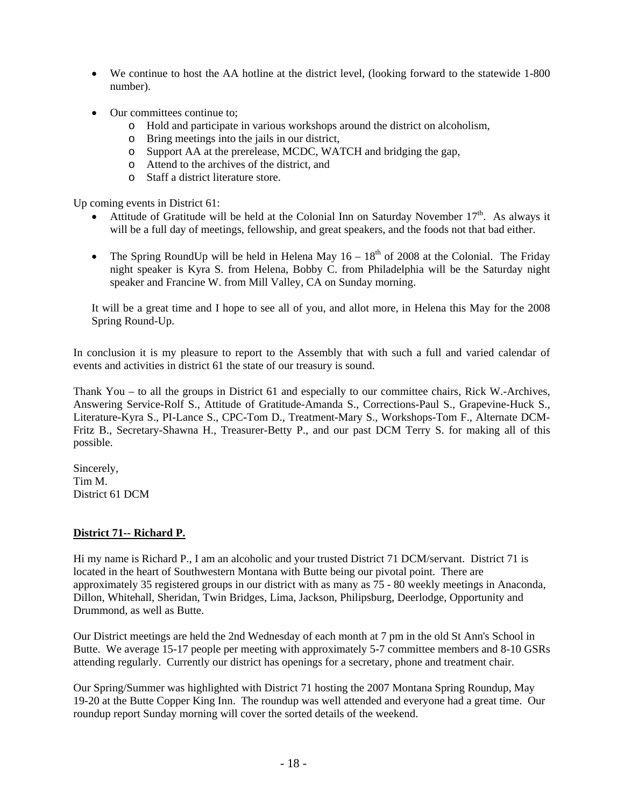- We continue to host the AA hotline at the district level, (looking forward to the statewide 1-800 number).
- Our committees continue to:
	- o Hold and participate in various workshops around the district on alcoholism,
	- o Bring meetings into the jails in our district,
	- o Support AA at the prerelease, MCDC, WATCH and bridging the gap,
	- o Attend to the archives of the district, and
	- o Staff a district literature store.

Up coming events in District 61:

- Attitude of Gratitude will be held at the Colonial Inn on Saturday November  $17<sup>th</sup>$ . As always it will be a full day of meetings, fellowship, and great speakers, and the foods not that bad either.
- The Spring RoundUp will be held in Helena May  $16 18<sup>th</sup>$  of 2008 at the Colonial. The Friday night speaker is Kyra S. from Helena, Bobby C. from Philadelphia will be the Saturday night speaker and Francine W. from Mill Valley, CA on Sunday morning.

It will be a great time and I hope to see all of you, and allot more, in Helena this May for the 2008 Spring Round-Up.

In conclusion it is my pleasure to report to the Assembly that with such a full and varied calendar of events and activities in district 61 the state of our treasury is sound.

Thank You – to all the groups in District 61 and especially to our committee chairs, Rick W.-Archives, Answering Service-Rolf S., Attitude of Gratitude-Amanda S., Corrections-Paul S., Grapevine-Huck S., Literature-Kyra S., PI-Lance S., CPC-Tom D., Treatment-Mary S., Workshops-Tom F., Alternate DCM-Fritz B., Secretary-Shawna H., Treasurer-Betty P., and our past DCM Terry S. for making all of this possible.

Sincerely, Tim M. District 61 DCM

# **District 71-- Richard P.**

Hi my name is Richard P., I am an alcoholic and your trusted District 71 DCM/servant. District 71 is located in the heart of Southwestern Montana with Butte being our pivotal point. There are approximately 35 registered groups in our district with as many as 75 - 80 weekly meetings in Anaconda, Dillon, Whitehall, Sheridan, Twin Bridges, Lima, Jackson, Philipsburg, Deerlodge, Opportunity and Drummond, as well as Butte.

Our District meetings are held the 2nd Wednesday of each month at 7 pm in the old St Ann's School in Butte. We average 15-17 people per meeting with approximately 5-7 committee members and 8-10 GSRs attending regularly. Currently our district has openings for a secretary, phone and treatment chair.

Our Spring/Summer was highlighted with District 71 hosting the 2007 Montana Spring Roundup, May 19-20 at the Butte Copper King Inn. The roundup was well attended and everyone had a great time. Our roundup report Sunday morning will cover the sorted details of the weekend.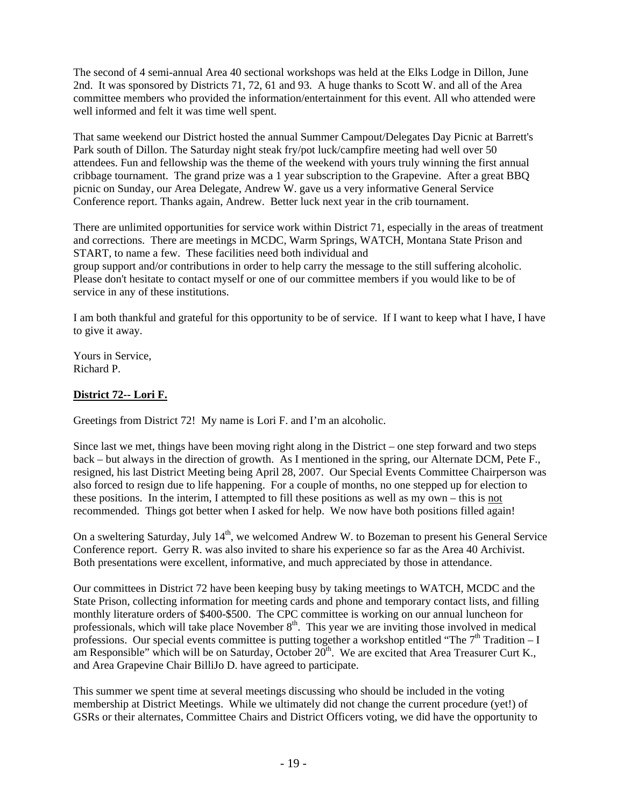The second of 4 semi-annual Area 40 sectional workshops was held at the Elks Lodge in Dillon, June 2nd. It was sponsored by Districts 71, 72, 61 and 93. A huge thanks to Scott W. and all of the Area committee members who provided the information/entertainment for this event. All who attended were well informed and felt it was time well spent.

That same weekend our District hosted the annual Summer Campout/Delegates Day Picnic at Barrett's Park south of Dillon. The Saturday night steak fry/pot luck/campfire meeting had well over 50 attendees. Fun and fellowship was the theme of the weekend with yours truly winning the first annual cribbage tournament. The grand prize was a 1 year subscription to the Grapevine. After a great BBQ picnic on Sunday, our Area Delegate, Andrew W. gave us a very informative General Service Conference report. Thanks again, Andrew. Better luck next year in the crib tournament.

There are unlimited opportunities for service work within District 71, especially in the areas of treatment and corrections. There are meetings in MCDC, Warm Springs, WATCH, Montana State Prison and START, to name a few. These facilities need both individual and group support and/or contributions in order to help carry the message to the still suffering alcoholic. Please don't hesitate to contact myself or one of our committee members if you would like to be of service in any of these institutions.

I am both thankful and grateful for this opportunity to be of service. If I want to keep what I have, I have to give it away.

Yours in Service, Richard P.

# **District 72-- Lori F.**

Greetings from District 72! My name is Lori F. and I'm an alcoholic.

Since last we met, things have been moving right along in the District – one step forward and two steps back – but always in the direction of growth. As I mentioned in the spring, our Alternate DCM, Pete F., resigned, his last District Meeting being April 28, 2007. Our Special Events Committee Chairperson was also forced to resign due to life happening. For a couple of months, no one stepped up for election to these positions. In the interim, I attempted to fill these positions as well as my own – this is not recommended. Things got better when I asked for help. We now have both positions filled again!

On a sweltering Saturday, July 14<sup>th</sup>, we welcomed Andrew W. to Bozeman to present his General Service Conference report. Gerry R. was also invited to share his experience so far as the Area 40 Archivist. Both presentations were excellent, informative, and much appreciated by those in attendance.

Our committees in District 72 have been keeping busy by taking meetings to WATCH, MCDC and the State Prison, collecting information for meeting cards and phone and temporary contact lists, and filling monthly literature orders of \$400-\$500. The CPC committee is working on our annual luncheon for professionals, which will take place November  $8<sup>th</sup>$ . This year we are inviting those involved in medical professions. Our special events committee is putting together a workshop entitled "The  $7<sup>th</sup>$  Tradition – I am Responsible" which will be on Saturday, October  $20<sup>th</sup>$ . We are excited that Area Treasurer Curt K., and Area Grapevine Chair BilliJo D. have agreed to participate.

This summer we spent time at several meetings discussing who should be included in the voting membership at District Meetings. While we ultimately did not change the current procedure (yet!) of GSRs or their alternates, Committee Chairs and District Officers voting, we did have the opportunity to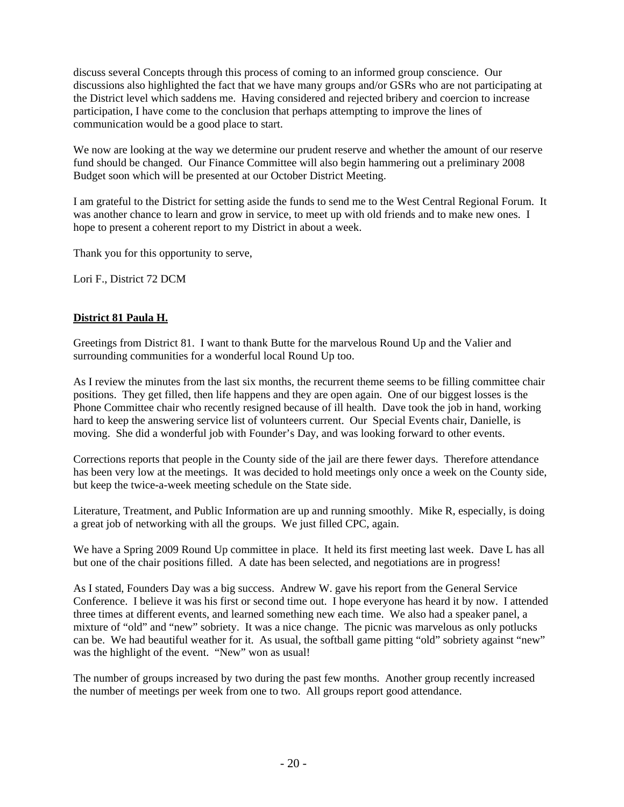discuss several Concepts through this process of coming to an informed group conscience. Our discussions also highlighted the fact that we have many groups and/or GSRs who are not participating at the District level which saddens me. Having considered and rejected bribery and coercion to increase participation, I have come to the conclusion that perhaps attempting to improve the lines of communication would be a good place to start.

We now are looking at the way we determine our prudent reserve and whether the amount of our reserve fund should be changed. Our Finance Committee will also begin hammering out a preliminary 2008 Budget soon which will be presented at our October District Meeting.

I am grateful to the District for setting aside the funds to send me to the West Central Regional Forum. It was another chance to learn and grow in service, to meet up with old friends and to make new ones. I hope to present a coherent report to my District in about a week.

Thank you for this opportunity to serve,

Lori F., District 72 DCM

# **District 81 Paula H.**

Greetings from District 81. I want to thank Butte for the marvelous Round Up and the Valier and surrounding communities for a wonderful local Round Up too.

As I review the minutes from the last six months, the recurrent theme seems to be filling committee chair positions. They get filled, then life happens and they are open again. One of our biggest losses is the Phone Committee chair who recently resigned because of ill health. Dave took the job in hand, working hard to keep the answering service list of volunteers current. Our Special Events chair, Danielle, is moving. She did a wonderful job with Founder's Day, and was looking forward to other events.

Corrections reports that people in the County side of the jail are there fewer days. Therefore attendance has been very low at the meetings. It was decided to hold meetings only once a week on the County side, but keep the twice-a-week meeting schedule on the State side.

Literature, Treatment, and Public Information are up and running smoothly. Mike R, especially, is doing a great job of networking with all the groups. We just filled CPC, again.

We have a Spring 2009 Round Up committee in place. It held its first meeting last week. Dave L has all but one of the chair positions filled. A date has been selected, and negotiations are in progress!

As I stated, Founders Day was a big success. Andrew W. gave his report from the General Service Conference. I believe it was his first or second time out. I hope everyone has heard it by now. I attended three times at different events, and learned something new each time. We also had a speaker panel, a mixture of "old" and "new" sobriety. It was a nice change. The picnic was marvelous as only potlucks can be. We had beautiful weather for it. As usual, the softball game pitting "old" sobriety against "new" was the highlight of the event. "New" won as usual!

The number of groups increased by two during the past few months. Another group recently increased the number of meetings per week from one to two. All groups report good attendance.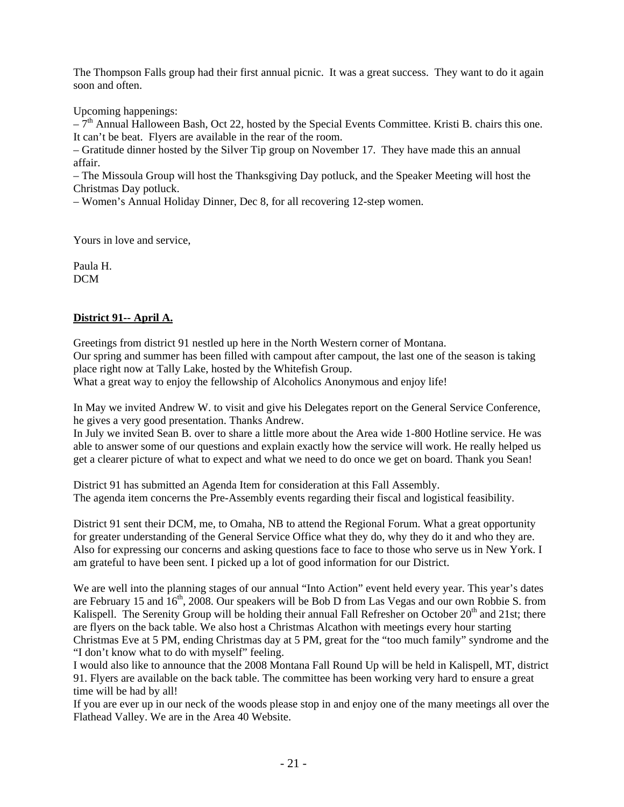The Thompson Falls group had their first annual picnic. It was a great success. They want to do it again soon and often.

Upcoming happenings:

 $-\tilde{7}^{th}$  Annual Halloween Bash, Oct 22, hosted by the Special Events Committee. Kristi B. chairs this one. It can't be beat. Flyers are available in the rear of the room.

– Gratitude dinner hosted by the Silver Tip group on November 17. They have made this an annual affair.

– The Missoula Group will host the Thanksgiving Day potluck, and the Speaker Meeting will host the Christmas Day potluck.

– Women's Annual Holiday Dinner, Dec 8, for all recovering 12-step women.

Yours in love and service,

Paula H. DCM

# **District 91-- April A.**

Greetings from district 91 nestled up here in the North Western corner of Montana. Our spring and summer has been filled with campout after campout, the last one of the season is taking place right now at Tally Lake, hosted by the Whitefish Group.

What a great way to enjoy the fellowship of Alcoholics Anonymous and enjoy life!

In May we invited Andrew W. to visit and give his Delegates report on the General Service Conference, he gives a very good presentation. Thanks Andrew.

In July we invited Sean B. over to share a little more about the Area wide 1-800 Hotline service. He was able to answer some of our questions and explain exactly how the service will work. He really helped us get a clearer picture of what to expect and what we need to do once we get on board. Thank you Sean!

District 91 has submitted an Agenda Item for consideration at this Fall Assembly. The agenda item concerns the Pre-Assembly events regarding their fiscal and logistical feasibility.

District 91 sent their DCM, me, to Omaha, NB to attend the Regional Forum. What a great opportunity for greater understanding of the General Service Office what they do, why they do it and who they are. Also for expressing our concerns and asking questions face to face to those who serve us in New York. I am grateful to have been sent. I picked up a lot of good information for our District.

We are well into the planning stages of our annual "Into Action" event held every year. This year's dates are February 15 and  $16<sup>th</sup>$ , 2008. Our speakers will be Bob D from Las Vegas and our own Robbie S. from Kalispell. The Serenity Group will be holding their annual Fall Refresher on October  $20<sup>th</sup>$  and 21st; there are flyers on the back table. We also host a Christmas Alcathon with meetings every hour starting Christmas Eve at 5 PM, ending Christmas day at 5 PM, great for the "too much family" syndrome and the "I don't know what to do with myself" feeling.

I would also like to announce that the 2008 Montana Fall Round Up will be held in Kalispell, MT, district 91. Flyers are available on the back table. The committee has been working very hard to ensure a great time will be had by all!

If you are ever up in our neck of the woods please stop in and enjoy one of the many meetings all over the Flathead Valley. We are in the Area 40 Website.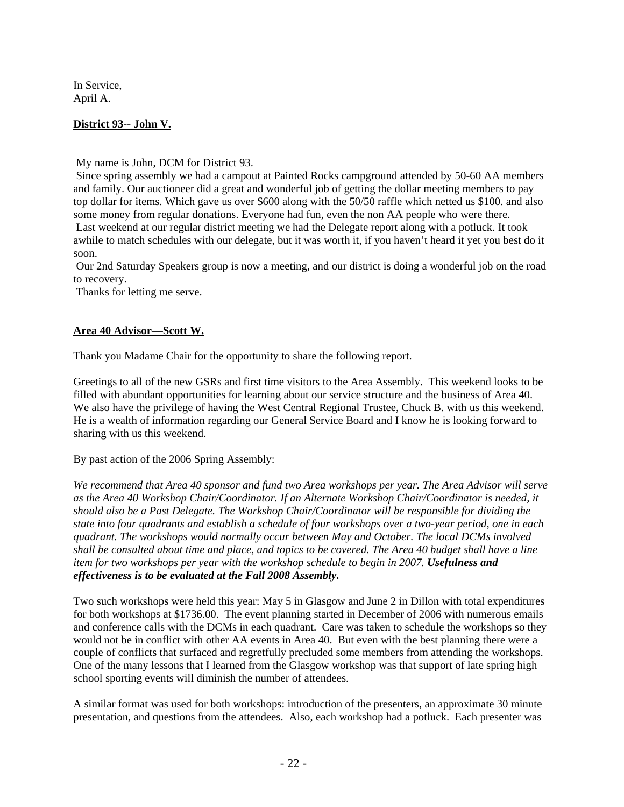In Service, April A.

# **District 93-- John V.**

My name is John, DCM for District 93.

 Since spring assembly we had a campout at Painted Rocks campground attended by 50-60 AA members and family. Our auctioneer did a great and wonderful job of getting the dollar meeting members to pay top dollar for items. Which gave us over \$600 along with the 50/50 raffle which netted us \$100. and also some money from regular donations. Everyone had fun, even the non AA people who were there. Last weekend at our regular district meeting we had the Delegate report along with a potluck. It took awhile to match schedules with our delegate, but it was worth it, if you haven't heard it yet you best do it soon.

 Our 2nd Saturday Speakers group is now a meeting, and our district is doing a wonderful job on the road to recovery.

Thanks for letting me serve.

## **Area 40 Advisor—Scott W.**

Thank you Madame Chair for the opportunity to share the following report.

Greetings to all of the new GSRs and first time visitors to the Area Assembly. This weekend looks to be filled with abundant opportunities for learning about our service structure and the business of Area 40. We also have the privilege of having the West Central Regional Trustee, Chuck B. with us this weekend. He is a wealth of information regarding our General Service Board and I know he is looking forward to sharing with us this weekend.

By past action of the 2006 Spring Assembly:

*We recommend that Area 40 sponsor and fund two Area workshops per year. The Area Advisor will serve as the Area 40 Workshop Chair/Coordinator. If an Alternate Workshop Chair/Coordinator is needed, it should also be a Past Delegate. The Workshop Chair/Coordinator will be responsible for dividing the state into four quadrants and establish a schedule of four workshops over a two-year period, one in each quadrant. The workshops would normally occur between May and October. The local DCMs involved shall be consulted about time and place, and topics to be covered. The Area 40 budget shall have a line item for two workshops per year with the workshop schedule to begin in 2007. Usefulness and effectiveness is to be evaluated at the Fall 2008 Assembly***.**

Two such workshops were held this year: May 5 in Glasgow and June 2 in Dillon with total expenditures for both workshops at \$1736.00. The event planning started in December of 2006 with numerous emails and conference calls with the DCMs in each quadrant. Care was taken to schedule the workshops so they would not be in conflict with other AA events in Area 40. But even with the best planning there were a couple of conflicts that surfaced and regretfully precluded some members from attending the workshops. One of the many lessons that I learned from the Glasgow workshop was that support of late spring high school sporting events will diminish the number of attendees.

A similar format was used for both workshops: introduction of the presenters, an approximate 30 minute presentation, and questions from the attendees. Also, each workshop had a potluck. Each presenter was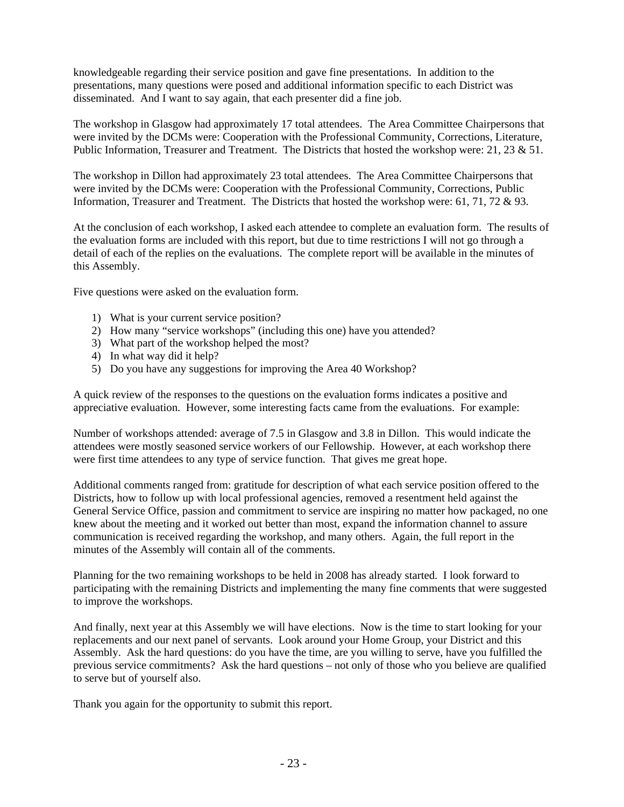knowledgeable regarding their service position and gave fine presentations. In addition to the presentations, many questions were posed and additional information specific to each District was disseminated. And I want to say again, that each presenter did a fine job.

The workshop in Glasgow had approximately 17 total attendees. The Area Committee Chairpersons that were invited by the DCMs were: Cooperation with the Professional Community, Corrections, Literature, Public Information, Treasurer and Treatment. The Districts that hosted the workshop were: 21, 23 & 51.

The workshop in Dillon had approximately 23 total attendees. The Area Committee Chairpersons that were invited by the DCMs were: Cooperation with the Professional Community, Corrections, Public Information, Treasurer and Treatment. The Districts that hosted the workshop were: 61, 71, 72 & 93.

At the conclusion of each workshop, I asked each attendee to complete an evaluation form. The results of the evaluation forms are included with this report, but due to time restrictions I will not go through a detail of each of the replies on the evaluations. The complete report will be available in the minutes of this Assembly.

Five questions were asked on the evaluation form.

- 1) What is your current service position?
- 2) How many "service workshops" (including this one) have you attended?
- 3) What part of the workshop helped the most?
- 4) In what way did it help?
- 5) Do you have any suggestions for improving the Area 40 Workshop?

A quick review of the responses to the questions on the evaluation forms indicates a positive and appreciative evaluation. However, some interesting facts came from the evaluations. For example:

Number of workshops attended: average of 7.5 in Glasgow and 3.8 in Dillon. This would indicate the attendees were mostly seasoned service workers of our Fellowship. However, at each workshop there were first time attendees to any type of service function. That gives me great hope.

Additional comments ranged from: gratitude for description of what each service position offered to the Districts, how to follow up with local professional agencies, removed a resentment held against the General Service Office, passion and commitment to service are inspiring no matter how packaged, no one knew about the meeting and it worked out better than most, expand the information channel to assure communication is received regarding the workshop, and many others. Again, the full report in the minutes of the Assembly will contain all of the comments.

Planning for the two remaining workshops to be held in 2008 has already started. I look forward to participating with the remaining Districts and implementing the many fine comments that were suggested to improve the workshops.

And finally, next year at this Assembly we will have elections. Now is the time to start looking for your replacements and our next panel of servants. Look around your Home Group, your District and this Assembly. Ask the hard questions: do you have the time, are you willing to serve, have you fulfilled the previous service commitments? Ask the hard questions – not only of those who you believe are qualified to serve but of yourself also.

Thank you again for the opportunity to submit this report.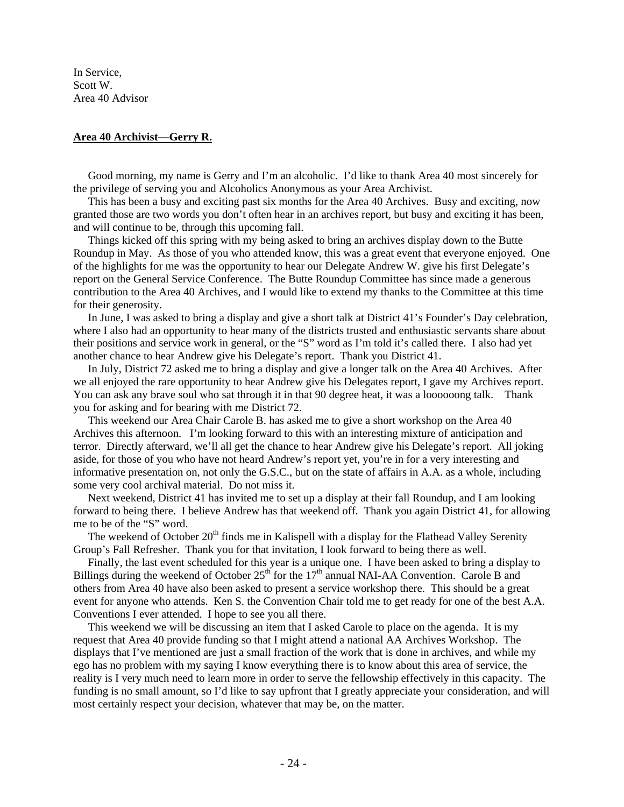In Service, Scott W. Area 40 Advisor

### **Area 40 Archivist—Gerry R.**

 Good morning, my name is Gerry and I'm an alcoholic. I'd like to thank Area 40 most sincerely for the privilege of serving you and Alcoholics Anonymous as your Area Archivist.

 This has been a busy and exciting past six months for the Area 40 Archives. Busy and exciting, now granted those are two words you don't often hear in an archives report, but busy and exciting it has been, and will continue to be, through this upcoming fall.

 Things kicked off this spring with my being asked to bring an archives display down to the Butte Roundup in May. As those of you who attended know, this was a great event that everyone enjoyed. One of the highlights for me was the opportunity to hear our Delegate Andrew W. give his first Delegate's report on the General Service Conference. The Butte Roundup Committee has since made a generous contribution to the Area 40 Archives, and I would like to extend my thanks to the Committee at this time for their generosity.

 In June, I was asked to bring a display and give a short talk at District 41's Founder's Day celebration, where I also had an opportunity to hear many of the districts trusted and enthusiastic servants share about their positions and service work in general, or the "S" word as I'm told it's called there. I also had yet another chance to hear Andrew give his Delegate's report. Thank you District 41.

 In July, District 72 asked me to bring a display and give a longer talk on the Area 40 Archives. After we all enjoyed the rare opportunity to hear Andrew give his Delegates report, I gave my Archives report. You can ask any brave soul who sat through it in that 90 degree heat, it was a loooooong talk. Thank you for asking and for bearing with me District 72.

 This weekend our Area Chair Carole B. has asked me to give a short workshop on the Area 40 Archives this afternoon. I'm looking forward to this with an interesting mixture of anticipation and terror. Directly afterward, we'll all get the chance to hear Andrew give his Delegate's report. All joking aside, for those of you who have not heard Andrew's report yet, you're in for a very interesting and informative presentation on, not only the G.S.C., but on the state of affairs in A.A. as a whole, including some very cool archival material. Do not miss it.

 Next weekend, District 41 has invited me to set up a display at their fall Roundup, and I am looking forward to being there. I believe Andrew has that weekend off. Thank you again District 41, for allowing me to be of the "S" word.

The weekend of October 20<sup>th</sup> finds me in Kalispell with a display for the Flathead Valley Serenity Group's Fall Refresher. Thank you for that invitation, I look forward to being there as well.

 Finally, the last event scheduled for this year is a unique one. I have been asked to bring a display to Billings during the weekend of October  $25<sup>th</sup>$  for the  $17<sup>th</sup>$  annual NAI-AA Convention. Carole B and others from Area 40 have also been asked to present a service workshop there. This should be a great event for anyone who attends. Ken S. the Convention Chair told me to get ready for one of the best A.A. Conventions I ever attended. I hope to see you all there.

 This weekend we will be discussing an item that I asked Carole to place on the agenda. It is my request that Area 40 provide funding so that I might attend a national AA Archives Workshop. The displays that I've mentioned are just a small fraction of the work that is done in archives, and while my ego has no problem with my saying I know everything there is to know about this area of service, the reality is I very much need to learn more in order to serve the fellowship effectively in this capacity. The funding is no small amount, so I'd like to say upfront that I greatly appreciate your consideration, and will most certainly respect your decision, whatever that may be, on the matter.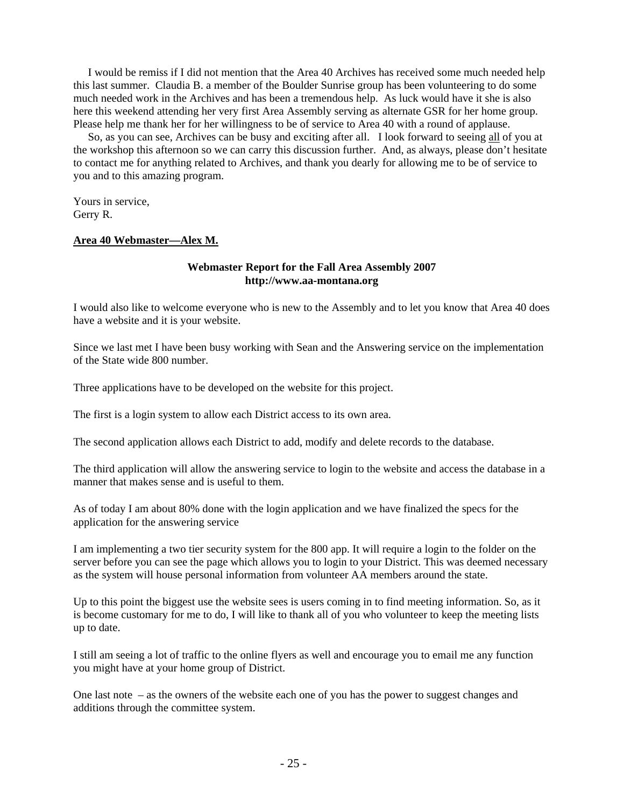I would be remiss if I did not mention that the Area 40 Archives has received some much needed help this last summer. Claudia B. a member of the Boulder Sunrise group has been volunteering to do some much needed work in the Archives and has been a tremendous help. As luck would have it she is also here this weekend attending her very first Area Assembly serving as alternate GSR for her home group. Please help me thank her for her willingness to be of service to Area 40 with a round of applause.

 So, as you can see, Archives can be busy and exciting after all. I look forward to seeing all of you at the workshop this afternoon so we can carry this discussion further. And, as always, please don't hesitate to contact me for anything related to Archives, and thank you dearly for allowing me to be of service to you and to this amazing program.

Yours in service, Gerry R.

### **Area 40 Webmaster—Alex M.**

### **Webmaster Report for the Fall Area Assembly 2007 http://www.aa-montana.org**

I would also like to welcome everyone who is new to the Assembly and to let you know that Area 40 does have a website and it is your website.

Since we last met I have been busy working with Sean and the Answering service on the implementation of the State wide 800 number.

Three applications have to be developed on the website for this project.

The first is a login system to allow each District access to its own area.

The second application allows each District to add, modify and delete records to the database.

The third application will allow the answering service to login to the website and access the database in a manner that makes sense and is useful to them.

As of today I am about 80% done with the login application and we have finalized the specs for the application for the answering service

I am implementing a two tier security system for the 800 app. It will require a login to the folder on the server before you can see the page which allows you to login to your District. This was deemed necessary as the system will house personal information from volunteer AA members around the state.

Up to this point the biggest use the website sees is users coming in to find meeting information. So, as it is become customary for me to do, I will like to thank all of you who volunteer to keep the meeting lists up to date.

I still am seeing a lot of traffic to the online flyers as well and encourage you to email me any function you might have at your home group of District.

One last note – as the owners of the website each one of you has the power to suggest changes and additions through the committee system.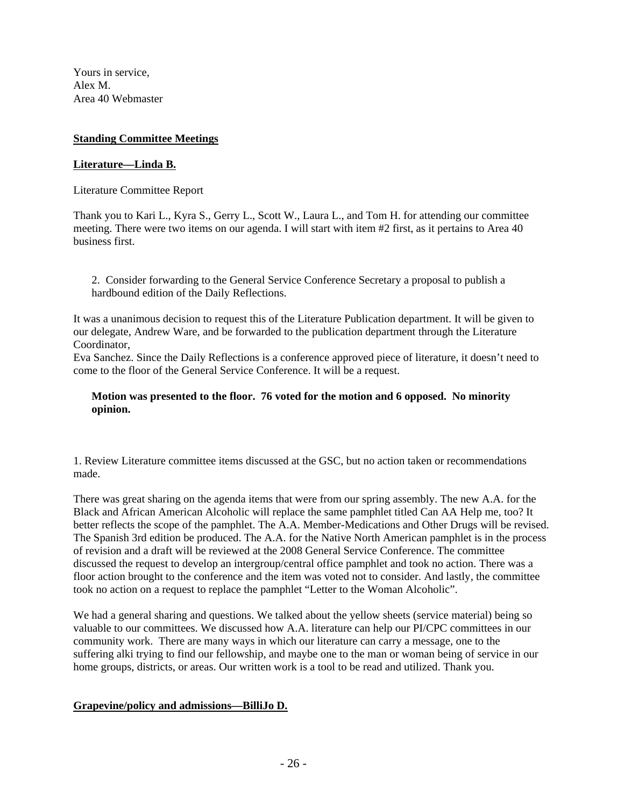Yours in service, Alex M. Area 40 Webmaster

## **Standing Committee Meetings**

## **Literature—Linda B.**

Literature Committee Report

Thank you to Kari L., Kyra S., Gerry L., Scott W., Laura L., and Tom H. for attending our committee meeting. There were two items on our agenda. I will start with item #2 first, as it pertains to Area 40 business first.

2. Consider forwarding to the General Service Conference Secretary a proposal to publish a hardbound edition of the Daily Reflections.

It was a unanimous decision to request this of the Literature Publication department. It will be given to our delegate, Andrew Ware, and be forwarded to the publication department through the Literature Coordinator,

Eva Sanchez. Since the Daily Reflections is a conference approved piece of literature, it doesn't need to come to the floor of the General Service Conference. It will be a request.

## **Motion was presented to the floor. 76 voted for the motion and 6 opposed. No minority opinion.**

1. Review Literature committee items discussed at the GSC, but no action taken or recommendations made.

There was great sharing on the agenda items that were from our spring assembly. The new A.A. for the Black and African American Alcoholic will replace the same pamphlet titled Can AA Help me, too? It better reflects the scope of the pamphlet. The A.A. Member-Medications and Other Drugs will be revised. The Spanish 3rd edition be produced. The A.A. for the Native North American pamphlet is in the process of revision and a draft will be reviewed at the 2008 General Service Conference. The committee discussed the request to develop an intergroup/central office pamphlet and took no action. There was a floor action brought to the conference and the item was voted not to consider. And lastly, the committee took no action on a request to replace the pamphlet "Letter to the Woman Alcoholic".

We had a general sharing and questions. We talked about the yellow sheets (service material) being so valuable to our committees. We discussed how A.A. literature can help our PI/CPC committees in our community work. There are many ways in which our literature can carry a message, one to the suffering alki trying to find our fellowship, and maybe one to the man or woman being of service in our home groups, districts, or areas. Our written work is a tool to be read and utilized. Thank you.

## **Grapevine/policy and admissions—BilliJo D.**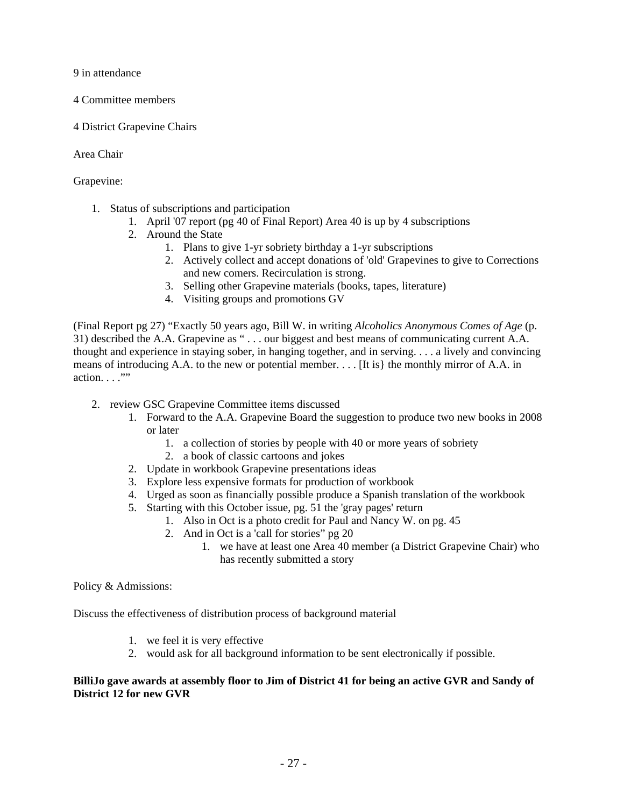9 in attendance

- 4 Committee members
- 4 District Grapevine Chairs

Area Chair

Grapevine:

- 1. Status of subscriptions and participation
	- 1. April '07 report (pg 40 of Final Report) Area 40 is up by 4 subscriptions
	- 2. Around the State
		- 1. Plans to give 1-yr sobriety birthday a 1-yr subscriptions
		- 2. Actively collect and accept donations of 'old' Grapevines to give to Corrections and new comers. Recirculation is strong.
		- 3. Selling other Grapevine materials (books, tapes, literature)
		- 4. Visiting groups and promotions GV

(Final Report pg 27) "Exactly 50 years ago, Bill W. in writing *Alcoholics Anonymous Comes of Age* (p. 31) described the A.A. Grapevine as " . . . our biggest and best means of communicating current A.A. thought and experience in staying sober, in hanging together, and in serving. . . . a lively and convincing means of introducing A.A. to the new or potential member. . . . [It is} the monthly mirror of A.A. in  $action. . . . .$ "

- 2. review GSC Grapevine Committee items discussed
	- 1. Forward to the A.A. Grapevine Board the suggestion to produce two new books in 2008 or later
		- 1. a collection of stories by people with 40 or more years of sobriety
		- 2. a book of classic cartoons and jokes
	- 2. Update in workbook Grapevine presentations ideas
	- 3. Explore less expensive formats for production of workbook
	- 4. Urged as soon as financially possible produce a Spanish translation of the workbook
	- 5. Starting with this October issue, pg. 51 the 'gray pages' return
		- 1. Also in Oct is a photo credit for Paul and Nancy W. on pg. 45
		- 2. And in Oct is a 'call for stories" pg 20
			- 1. we have at least one Area 40 member (a District Grapevine Chair) who has recently submitted a story

Policy & Admissions:

Discuss the effectiveness of distribution process of background material

- 1. we feel it is very effective
- 2. would ask for all background information to be sent electronically if possible.

## **BilliJo gave awards at assembly floor to Jim of District 41 for being an active GVR and Sandy of District 12 for new GVR**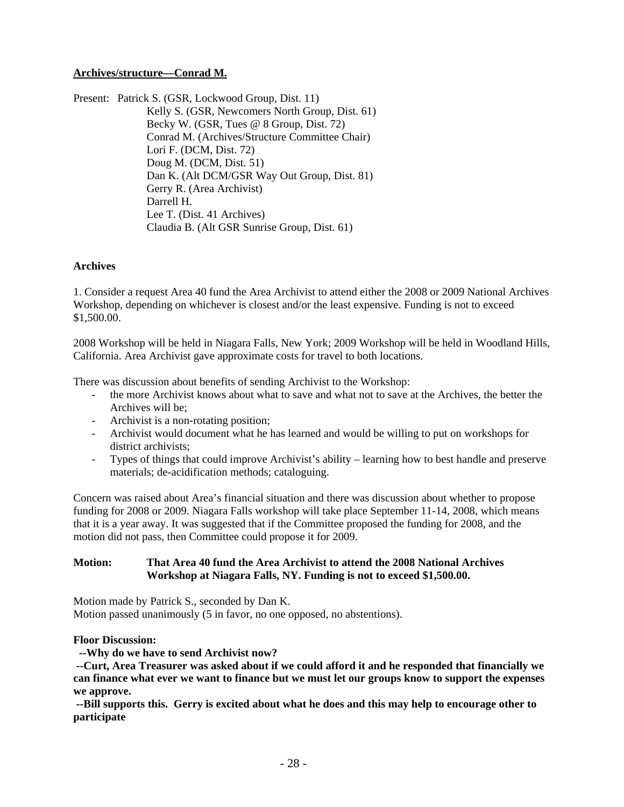# **Archives/structure—Conrad M.**

Present: Patrick S. (GSR, Lockwood Group, Dist. 11) Kelly S. (GSR, Newcomers North Group, Dist. 61) Becky W. (GSR, Tues @ 8 Group, Dist. 72) Conrad M. (Archives/Structure Committee Chair) Lori F. (DCM, Dist. 72) Doug M. (DCM, Dist. 51) Dan K. (Alt DCM/GSR Way Out Group, Dist. 81) Gerry R. (Area Archivist) Darrell H. Lee T. (Dist. 41 Archives) Claudia B. (Alt GSR Sunrise Group, Dist. 61)

## **Archives**

1. Consider a request Area 40 fund the Area Archivist to attend either the 2008 or 2009 National Archives Workshop, depending on whichever is closest and/or the least expensive. Funding is not to exceed \$1,500.00.

2008 Workshop will be held in Niagara Falls, New York; 2009 Workshop will be held in Woodland Hills, California. Area Archivist gave approximate costs for travel to both locations.

There was discussion about benefits of sending Archivist to the Workshop:

- the more Archivist knows about what to save and what not to save at the Archives, the better the Archives will be;
- Archivist is a non-rotating position;
- Archivist would document what he has learned and would be willing to put on workshops for district archivists;
- Types of things that could improve Archivist's ability learning how to best handle and preserve materials; de-acidification methods; cataloguing.

Concern was raised about Area's financial situation and there was discussion about whether to propose funding for 2008 or 2009. Niagara Falls workshop will take place September 11-14, 2008, which means that it is a year away. It was suggested that if the Committee proposed the funding for 2008, and the motion did not pass, then Committee could propose it for 2009.

### **Motion: That Area 40 fund the Area Archivist to attend the 2008 National Archives Workshop at Niagara Falls, NY. Funding is not to exceed \$1,500.00.**

Motion made by Patrick S., seconded by Dan K. Motion passed unanimously (5 in favor, no one opposed, no abstentions).

### **Floor Discussion:**

 **--Why do we have to send Archivist now?** 

 **--Curt, Area Treasurer was asked about if we could afford it and he responded that financially we can finance what ever we want to finance but we must let our groups know to support the expenses we approve.** 

 **--Bill supports this. Gerry is excited about what he does and this may help to encourage other to participate**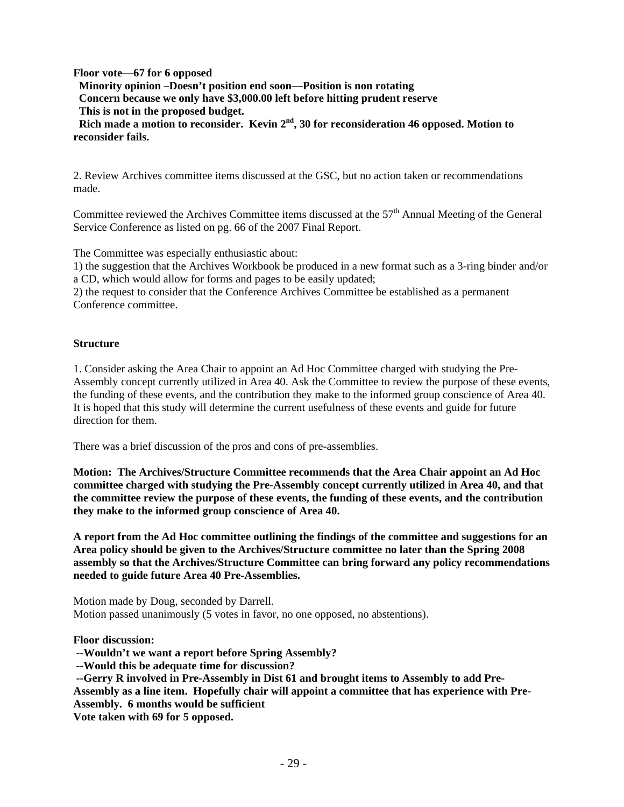**Floor vote—67 for 6 opposed** 

 **Minority opinion –Doesn't position end soon—Position is non rotating Concern because we only have \$3,000.00 left before hitting prudent reserve This is not in the proposed budget.** 

Rich made a motion to reconsider. Kevin 2<sup>nd</sup>, 30 for reconsideration 46 opposed. Motion to **reconsider fails.** 

2. Review Archives committee items discussed at the GSC, but no action taken or recommendations made.

Committee reviewed the Archives Committee items discussed at the 57<sup>th</sup> Annual Meeting of the General Service Conference as listed on pg. 66 of the 2007 Final Report.

The Committee was especially enthusiastic about:

1) the suggestion that the Archives Workbook be produced in a new format such as a 3-ring binder and/or a CD, which would allow for forms and pages to be easily updated;

2) the request to consider that the Conference Archives Committee be established as a permanent Conference committee.

# **Structure**

1. Consider asking the Area Chair to appoint an Ad Hoc Committee charged with studying the Pre-Assembly concept currently utilized in Area 40. Ask the Committee to review the purpose of these events, the funding of these events, and the contribution they make to the informed group conscience of Area 40. It is hoped that this study will determine the current usefulness of these events and guide for future direction for them.

There was a brief discussion of the pros and cons of pre-assemblies.

**Motion: The Archives/Structure Committee recommends that the Area Chair appoint an Ad Hoc committee charged with studying the Pre-Assembly concept currently utilized in Area 40, and that the committee review the purpose of these events, the funding of these events, and the contribution they make to the informed group conscience of Area 40.** 

**A report from the Ad Hoc committee outlining the findings of the committee and suggestions for an Area policy should be given to the Archives/Structure committee no later than the Spring 2008 assembly so that the Archives/Structure Committee can bring forward any policy recommendations needed to guide future Area 40 Pre-Assemblies.** 

Motion made by Doug, seconded by Darrell. Motion passed unanimously (5 votes in favor, no one opposed, no abstentions).

**Floor discussion:** 

 **--Wouldn't we want a report before Spring Assembly?** 

 **--Would this be adequate time for discussion?** 

 **--Gerry R involved in Pre-Assembly in Dist 61 and brought items to Assembly to add Pre-Assembly as a line item. Hopefully chair will appoint a committee that has experience with Pre-Assembly. 6 months would be sufficient** 

**Vote taken with 69 for 5 opposed.**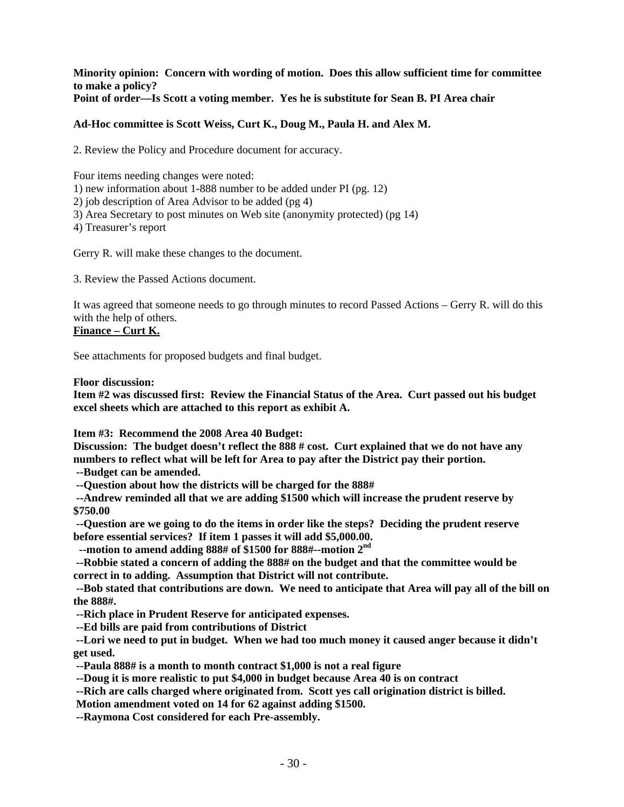### **Minority opinion: Concern with wording of motion. Does this allow sufficient time for committee to make a policy? Point of order—Is Scott a voting member. Yes he is substitute for Sean B. PI Area chair**

# **Ad-Hoc committee is Scott Weiss, Curt K., Doug M., Paula H. and Alex M.**

2. Review the Policy and Procedure document for accuracy.

Four items needing changes were noted: 1) new information about 1-888 number to be added under PI (pg. 12) 2) job description of Area Advisor to be added (pg 4) 3) Area Secretary to post minutes on Web site (anonymity protected) (pg 14) 4) Treasurer's report

Gerry R. will make these changes to the document.

3. Review the Passed Actions document.

It was agreed that someone needs to go through minutes to record Passed Actions – Gerry R. will do this with the help of others.

# **Finance – Curt K.**

See attachments for proposed budgets and final budget.

### **Floor discussion:**

**Item #2 was discussed first: Review the Financial Status of the Area. Curt passed out his budget excel sheets which are attached to this report as exhibit A.** 

**Item #3: Recommend the 2008 Area 40 Budget:** 

**Discussion: The budget doesn't reflect the 888 # cost. Curt explained that we do not have any numbers to reflect what will be left for Area to pay after the District pay their portion.** 

 **--Budget can be amended.** 

 **--Question about how the districts will be charged for the 888#** 

 **--Andrew reminded all that we are adding \$1500 which will increase the prudent reserve by \$750.00** 

 **--Question are we going to do the items in order like the steps? Deciding the prudent reserve before essential services? If item 1 passes it will add \$5,000.00.** 

 **--motion to amend adding 888# of \$1500 for 888#--motion 2nd**

 **--Robbie stated a concern of adding the 888# on the budget and that the committee would be correct in to adding. Assumption that District will not contribute.** 

 **--Bob stated that contributions are down. We need to anticipate that Area will pay all of the bill on the 888#.** 

 **--Rich place in Prudent Reserve for anticipated expenses.** 

 **--Ed bills are paid from contributions of District** 

 **--Lori we need to put in budget. When we had too much money it caused anger because it didn't get used.** 

 **--Paula 888# is a month to month contract \$1,000 is not a real figure** 

 **--Doug it is more realistic to put \$4,000 in budget because Area 40 is on contract** 

 **--Rich are calls charged where originated from. Scott yes call origination district is billed.** 

 **Motion amendment voted on 14 for 62 against adding \$1500.** 

 **--Raymona Cost considered for each Pre-assembly.**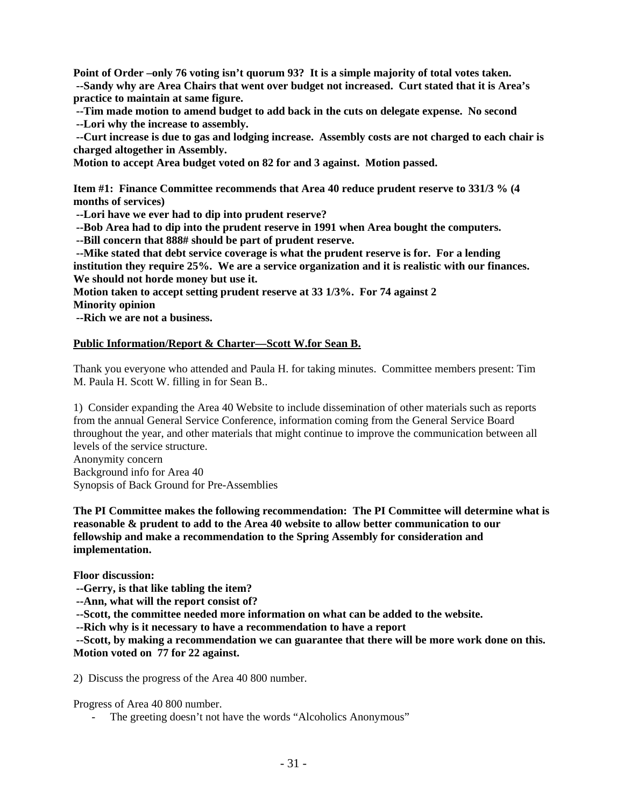**Point of Order –only 76 voting isn't quorum 93? It is a simple majority of total votes taken. --Sandy why are Area Chairs that went over budget not increased. Curt stated that it is Area's practice to maintain at same figure.** 

 **--Tim made motion to amend budget to add back in the cuts on delegate expense. No second --Lori why the increase to assembly.** 

 **--Curt increase is due to gas and lodging increase. Assembly costs are not charged to each chair is charged altogether in Assembly.** 

**Motion to accept Area budget voted on 82 for and 3 against. Motion passed.** 

**Item #1: Finance Committee recommends that Area 40 reduce prudent reserve to 331/3 % (4 months of services)** 

 **--Lori have we ever had to dip into prudent reserve?** 

 **--Bob Area had to dip into the prudent reserve in 1991 when Area bought the computers.** 

 **--Bill concern that 888# should be part of prudent reserve.** 

 **--Mike stated that debt service coverage is what the prudent reserve is for. For a lending institution they require 25%. We are a service organization and it is realistic with our finances. We should not horde money but use it.** 

**Motion taken to accept setting prudent reserve at 33 1/3%. For 74 against 2** 

**Minority opinion** 

 **--Rich we are not a business.** 

### **Public Information/Report & Charter—Scott W.for Sean B.**

Thank you everyone who attended and Paula H. for taking minutes. Committee members present: Tim M. Paula H. Scott W. filling in for Sean B..

1) Consider expanding the Area 40 Website to include dissemination of other materials such as reports from the annual General Service Conference, information coming from the General Service Board throughout the year, and other materials that might continue to improve the communication between all levels of the service structure.

Anonymity concern Background info for Area 40 Synopsis of Back Ground for Pre-Assemblies

**The PI Committee makes the following recommendation: The PI Committee will determine what is reasonable & prudent to add to the Area 40 website to allow better communication to our fellowship and make a recommendation to the Spring Assembly for consideration and implementation.** 

**Floor discussion:** 

 **--Gerry, is that like tabling the item?** 

 **--Ann, what will the report consist of?** 

 **--Scott, the committee needed more information on what can be added to the website.** 

 **--Rich why is it necessary to have a recommendation to have a report** 

 **--Scott, by making a recommendation we can guarantee that there will be more work done on this. Motion voted on 77 for 22 against.** 

2) Discuss the progress of the Area 40 800 number.

Progress of Area 40 800 number.

The greeting doesn't not have the words "Alcoholics Anonymous"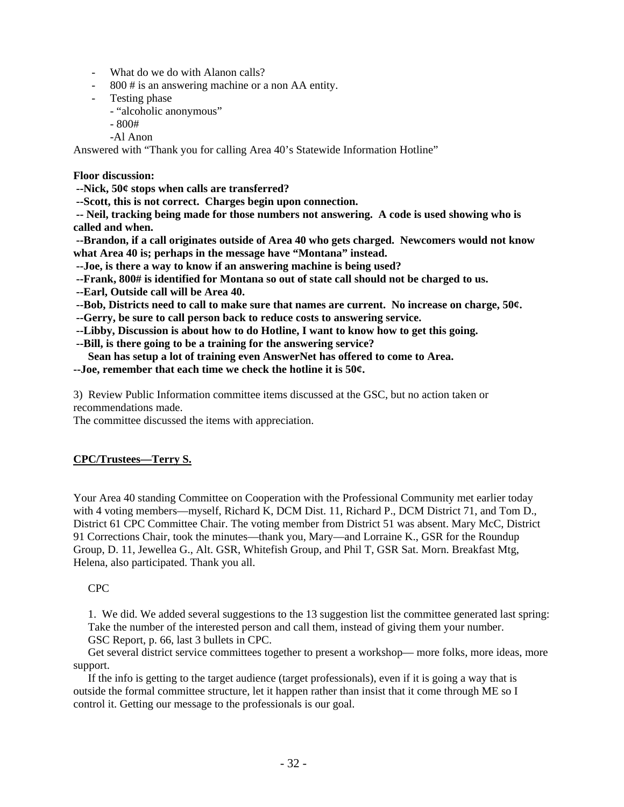- What do we do with Alanon calls?
- 800 # is an answering machine or a non AA entity.
- Testing phase
	- "alcoholic anonymous"
	- 800#
	- -Al Anon

Answered with "Thank you for calling Area 40's Statewide Information Hotline"

### **Floor discussion:**

 **--Nick, 50¢ stops when calls are transferred?** 

 **--Scott, this is not correct. Charges begin upon connection.** 

 **-- Neil, tracking being made for those numbers not answering. A code is used showing who is called and when.** 

 **--Brandon, if a call originates outside of Area 40 who gets charged. Newcomers would not know what Area 40 is; perhaps in the message have "Montana" instead.** 

 **--Joe, is there a way to know if an answering machine is being used?** 

 **--Frank, 800# is identified for Montana so out of state call should not be charged to us.** 

 **--Earl, Outside call will be Area 40.** 

 **--Bob, Districts need to call to make sure that names are current. No increase on charge, 50¢.** 

 **--Gerry, be sure to call person back to reduce costs to answering service.** 

 **--Libby, Discussion is about how to do Hotline, I want to know how to get this going.** 

 **--Bill, is there going to be a training for the answering service?** 

 **Sean has setup a lot of training even AnswerNet has offered to come to Area.** 

**--Joe, remember that each time we check the hotline it is 50¢.** 

3) Review Public Information committee items discussed at the GSC, but no action taken or recommendations made.

The committee discussed the items with appreciation.

# **CPC/Trustees—Terry S.**

Your Area 40 standing Committee on Cooperation with the Professional Community met earlier today with 4 voting members—myself, Richard K, DCM Dist. 11, Richard P., DCM District 71, and Tom D., District 61 CPC Committee Chair. The voting member from District 51 was absent. Mary McC, District 91 Corrections Chair, took the minutes—thank you, Mary—and Lorraine K., GSR for the Roundup Group, D. 11, Jewellea G., Alt. GSR, Whitefish Group, and Phil T, GSR Sat. Morn. Breakfast Mtg, Helena, also participated. Thank you all.

## CPC

 1. We did. We added several suggestions to the 13 suggestion list the committee generated last spring: Take the number of the interested person and call them, instead of giving them your number. GSC Report, p. 66, last 3 bullets in CPC.

 Get several district service committees together to present a workshop— more folks, more ideas, more support.

 If the info is getting to the target audience (target professionals), even if it is going a way that is outside the formal committee structure, let it happen rather than insist that it come through ME so I control it. Getting our message to the professionals is our goal.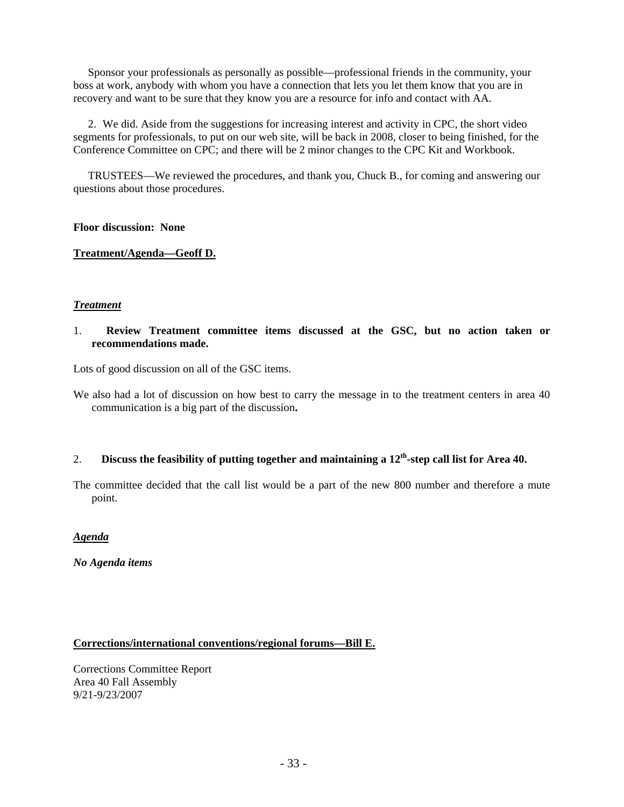Sponsor your professionals as personally as possible—professional friends in the community, your boss at work, anybody with whom you have a connection that lets you let them know that you are in recovery and want to be sure that they know you are a resource for info and contact with AA.

 2. We did. Aside from the suggestions for increasing interest and activity in CPC, the short video segments for professionals, to put on our web site, will be back in 2008, closer to being finished, for the Conference Committee on CPC; and there will be 2 minor changes to the CPC Kit and Workbook.

 TRUSTEES—We reviewed the procedures, and thank you, Chuck B., for coming and answering our questions about those procedures.

## **Floor discussion: None**

## **Treatment/Agenda—Geoff D.**

## *Treatment*

## 1. **Review Treatment committee items discussed at the GSC, but no action taken or recommendations made.**

Lots of good discussion on all of the GSC items.

We also had a lot of discussion on how best to carry the message in to the treatment centers in area 40 communication is a big part of the discussion**.**

# 2. **Discuss the feasibility of putting together and maintaining a 12th-step call list for Area 40.**

The committee decided that the call list would be a part of the new 800 number and therefore a mute point.

### *Agenda*

*No Agenda items* 

### **Corrections/international conventions/regional forums—Bill E.**

Corrections Committee Report Area 40 Fall Assembly 9/21-9/23/2007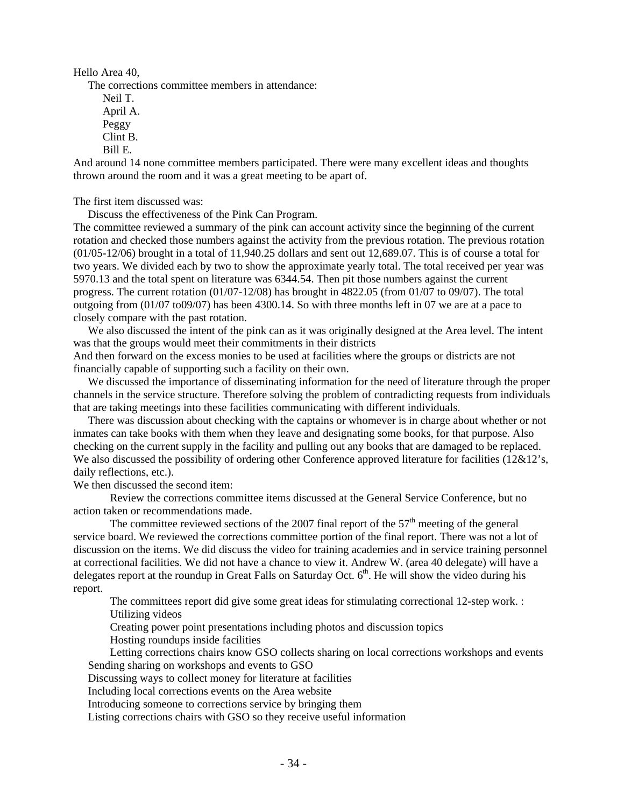Hello Area 40,

The corrections committee members in attendance:

 Neil T. April A. Peggy Clint B. Bill E.

And around 14 none committee members participated. There were many excellent ideas and thoughts thrown around the room and it was a great meeting to be apart of.

The first item discussed was:

Discuss the effectiveness of the Pink Can Program.

The committee reviewed a summary of the pink can account activity since the beginning of the current rotation and checked those numbers against the activity from the previous rotation. The previous rotation (01/05-12/06) brought in a total of 11,940.25 dollars and sent out 12,689.07. This is of course a total for two years. We divided each by two to show the approximate yearly total. The total received per year was 5970.13 and the total spent on literature was 6344.54. Then pit those numbers against the current progress. The current rotation (01/07-12/08) has brought in 4822.05 (from 01/07 to 09/07). The total outgoing from (01/07 to09/07) has been 4300.14. So with three months left in 07 we are at a pace to closely compare with the past rotation.

We also discussed the intent of the pink can as it was originally designed at the Area level. The intent was that the groups would meet their commitments in their districts

And then forward on the excess monies to be used at facilities where the groups or districts are not financially capable of supporting such a facility on their own.

 We discussed the importance of disseminating information for the need of literature through the proper channels in the service structure. Therefore solving the problem of contradicting requests from individuals that are taking meetings into these facilities communicating with different individuals.

 There was discussion about checking with the captains or whomever is in charge about whether or not inmates can take books with them when they leave and designating some books, for that purpose. Also checking on the current supply in the facility and pulling out any books that are damaged to be replaced. We also discussed the possibility of ordering other Conference approved literature for facilities (12&12's, daily reflections, etc.).

We then discussed the second item:

Review the corrections committee items discussed at the General Service Conference, but no action taken or recommendations made.

The committee reviewed sections of the 2007 final report of the  $57<sup>th</sup>$  meeting of the general service board. We reviewed the corrections committee portion of the final report. There was not a lot of discussion on the items. We did discuss the video for training academies and in service training personnel at correctional facilities. We did not have a chance to view it. Andrew W. (area 40 delegate) will have a delegates report at the roundup in Great Falls on Saturday Oct.  $6<sup>th</sup>$ . He will show the video during his report.

The committees report did give some great ideas for stimulating correctional 12-step work. : Utilizing videos

Creating power point presentations including photos and discussion topics

Hosting roundups inside facilities

Letting corrections chairs know GSO collects sharing on local corrections workshops and events Sending sharing on workshops and events to GSO

Discussing ways to collect money for literature at facilities

Including local corrections events on the Area website

Introducing someone to corrections service by bringing them

Listing corrections chairs with GSO so they receive useful information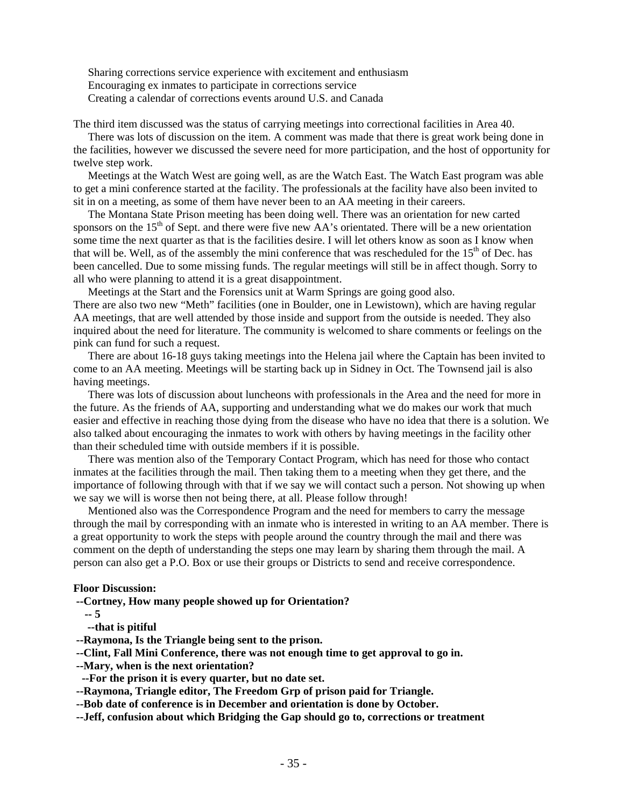Sharing corrections service experience with excitement and enthusiasm Encouraging ex inmates to participate in corrections service Creating a calendar of corrections events around U.S. and Canada

The third item discussed was the status of carrying meetings into correctional facilities in Area 40.

 There was lots of discussion on the item. A comment was made that there is great work being done in the facilities, however we discussed the severe need for more participation, and the host of opportunity for twelve step work.

 Meetings at the Watch West are going well, as are the Watch East. The Watch East program was able to get a mini conference started at the facility. The professionals at the facility have also been invited to sit in on a meeting, as some of them have never been to an AA meeting in their careers.

 The Montana State Prison meeting has been doing well. There was an orientation for new carted sponsors on the  $15<sup>th</sup>$  of Sept. and there were five new AA's orientated. There will be a new orientation some time the next quarter as that is the facilities desire. I will let others know as soon as I know when that will be. Well, as of the assembly the mini conference that was rescheduled for the  $15<sup>th</sup>$  of Dec. has been cancelled. Due to some missing funds. The regular meetings will still be in affect though. Sorry to all who were planning to attend it is a great disappointment.

 Meetings at the Start and the Forensics unit at Warm Springs are going good also. There are also two new "Meth" facilities (one in Boulder, one in Lewistown), which are having regular AA meetings, that are well attended by those inside and support from the outside is needed. They also inquired about the need for literature. The community is welcomed to share comments or feelings on the pink can fund for such a request.

 There are about 16-18 guys taking meetings into the Helena jail where the Captain has been invited to come to an AA meeting. Meetings will be starting back up in Sidney in Oct. The Townsend jail is also having meetings.

 There was lots of discussion about luncheons with professionals in the Area and the need for more in the future. As the friends of AA, supporting and understanding what we do makes our work that much easier and effective in reaching those dying from the disease who have no idea that there is a solution. We also talked about encouraging the inmates to work with others by having meetings in the facility other than their scheduled time with outside members if it is possible.

 There was mention also of the Temporary Contact Program, which has need for those who contact inmates at the facilities through the mail. Then taking them to a meeting when they get there, and the importance of following through with that if we say we will contact such a person. Not showing up when we say we will is worse then not being there, at all. Please follow through!

 Mentioned also was the Correspondence Program and the need for members to carry the message through the mail by corresponding with an inmate who is interested in writing to an AA member. There is a great opportunity to work the steps with people around the country through the mail and there was comment on the depth of understanding the steps one may learn by sharing them through the mail. A person can also get a P.O. Box or use their groups or Districts to send and receive correspondence.

### **Floor Discussion:**

 **--Cortney, How many people showed up for Orientation?** 

 **-- 5** 

 **--that is pitiful** 

- **--Raymona, Is the Triangle being sent to the prison.**
- **--Clint, Fall Mini Conference, there was not enough time to get approval to go in.**
- **--Mary, when is the next orientation?**
- **--For the prison it is every quarter, but no date set.**

 **--Raymona, Triangle editor, The Freedom Grp of prison paid for Triangle.** 

 **--Bob date of conference is in December and orientation is done by October.** 

 **--Jeff, confusion about which Bridging the Gap should go to, corrections or treatment**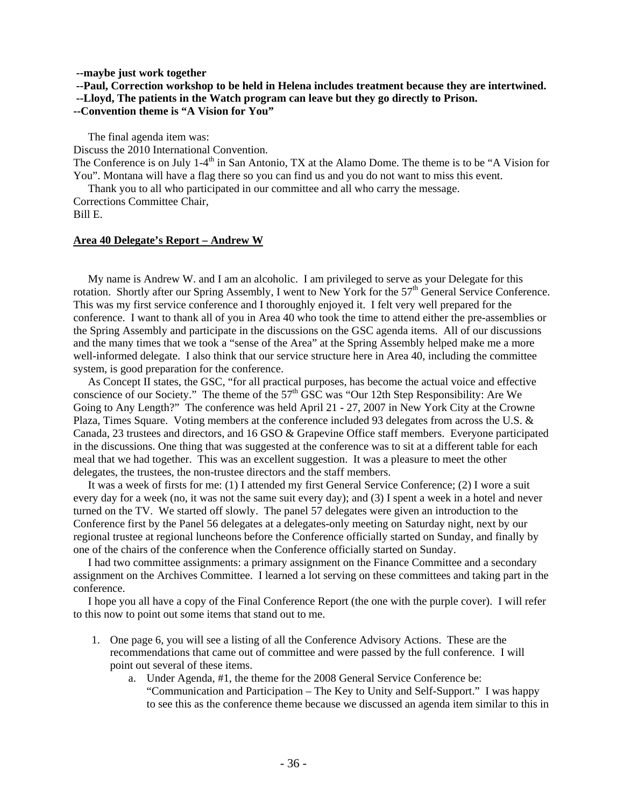#### **--maybe just work together**

 **--Paul, Correction workshop to be held in Helena includes treatment because they are intertwined.** 

 **--Lloyd, The patients in the Watch program can leave but they go directly to Prison.** 

## **--Convention theme is "A Vision for You"**

The final agenda item was:

Discuss the 2010 International Convention.

The Conference is on July 1-4<sup>th</sup> in San Antonio, TX at the Alamo Dome. The theme is to be "A Vision for You". Montana will have a flag there so you can find us and you do not want to miss this event.

Thank you to all who participated in our committee and all who carry the message.

Corrections Committee Chair, Bill E.

#### **Area 40 Delegate's Report – Andrew W**

 My name is Andrew W. and I am an alcoholic. I am privileged to serve as your Delegate for this rotation. Shortly after our Spring Assembly, I went to New York for the 57<sup>th</sup> General Service Conference. This was my first service conference and I thoroughly enjoyed it. I felt very well prepared for the conference. I want to thank all of you in Area 40 who took the time to attend either the pre-assemblies or the Spring Assembly and participate in the discussions on the GSC agenda items. All of our discussions and the many times that we took a "sense of the Area" at the Spring Assembly helped make me a more well-informed delegate. I also think that our service structure here in Area 40, including the committee system, is good preparation for the conference.

 As Concept II states, the GSC, "for all practical purposes, has become the actual voice and effective conscience of our Society." The theme of the  $57<sup>th</sup>$  GSC was "Our 12th Step Responsibility: Are We Going to Any Length?" The conference was held April 21 - 27, 2007 in New York City at the Crowne Plaza, Times Square. Voting members at the conference included 93 delegates from across the U.S. & Canada, 23 trustees and directors, and 16 GSO & Grapevine Office staff members. Everyone participated in the discussions. One thing that was suggested at the conference was to sit at a different table for each meal that we had together. This was an excellent suggestion. It was a pleasure to meet the other delegates, the trustees, the non-trustee directors and the staff members.

 It was a week of firsts for me: (1) I attended my first General Service Conference; (2) I wore a suit every day for a week (no, it was not the same suit every day); and (3) I spent a week in a hotel and never turned on the TV. We started off slowly. The panel 57 delegates were given an introduction to the Conference first by the Panel 56 delegates at a delegates-only meeting on Saturday night, next by our regional trustee at regional luncheons before the Conference officially started on Sunday, and finally by one of the chairs of the conference when the Conference officially started on Sunday.

 I had two committee assignments: a primary assignment on the Finance Committee and a secondary assignment on the Archives Committee. I learned a lot serving on these committees and taking part in the conference.

 I hope you all have a copy of the Final Conference Report (the one with the purple cover). I will refer to this now to point out some items that stand out to me.

- 1. One page 6, you will see a listing of all the Conference Advisory Actions. These are the recommendations that came out of committee and were passed by the full conference. I will point out several of these items.
	- a. Under Agenda, #1, the theme for the 2008 General Service Conference be: "Communication and Participation – The Key to Unity and Self-Support." I was happy to see this as the conference theme because we discussed an agenda item similar to this in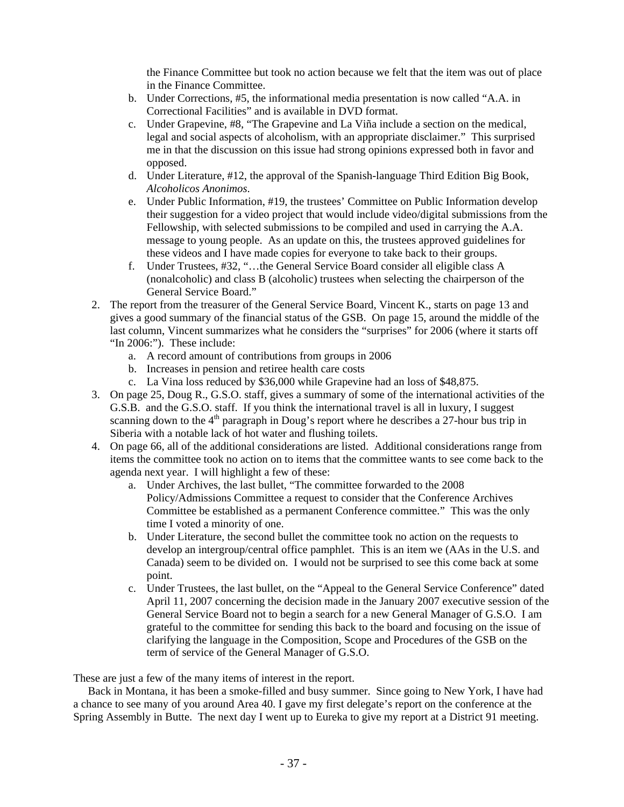the Finance Committee but took no action because we felt that the item was out of place in the Finance Committee.

- b. Under Corrections, #5, the informational media presentation is now called "A.A. in Correctional Facilities" and is available in DVD format.
- c. Under Grapevine, #8, "The Grapevine and La Viña include a section on the medical, legal and social aspects of alcoholism, with an appropriate disclaimer." This surprised me in that the discussion on this issue had strong opinions expressed both in favor and opposed.
- d. Under Literature, #12, the approval of the Spanish-language Third Edition Big Book, *Alcoholicos Anonimos*.
- e. Under Public Information, #19, the trustees' Committee on Public Information develop their suggestion for a video project that would include video/digital submissions from the Fellowship, with selected submissions to be compiled and used in carrying the A.A. message to young people. As an update on this, the trustees approved guidelines for these videos and I have made copies for everyone to take back to their groups.
- f. Under Trustees, #32, "…the General Service Board consider all eligible class A (nonalcoholic) and class B (alcoholic) trustees when selecting the chairperson of the General Service Board."
- 2. The report from the treasurer of the General Service Board, Vincent K., starts on page 13 and gives a good summary of the financial status of the GSB. On page 15, around the middle of the last column, Vincent summarizes what he considers the "surprises" for 2006 (where it starts off "In 2006:"). These include:
	- a. A record amount of contributions from groups in 2006
	- b. Increases in pension and retiree health care costs
	- c. La Vina loss reduced by \$36,000 while Grapevine had an loss of \$48,875.
- 3. On page 25, Doug R., G.S.O. staff, gives a summary of some of the international activities of the G.S.B. and the G.S.O. staff. If you think the international travel is all in luxury, I suggest scanning down to the  $4<sup>th</sup>$  paragraph in Doug's report where he describes a 27-hour bus trip in Siberia with a notable lack of hot water and flushing toilets.
- 4. On page 66, all of the additional considerations are listed. Additional considerations range from items the committee took no action on to items that the committee wants to see come back to the agenda next year. I will highlight a few of these:
	- a. Under Archives, the last bullet, "The committee forwarded to the 2008 Policy/Admissions Committee a request to consider that the Conference Archives Committee be established as a permanent Conference committee." This was the only time I voted a minority of one.
	- b. Under Literature, the second bullet the committee took no action on the requests to develop an intergroup/central office pamphlet. This is an item we (AAs in the U.S. and Canada) seem to be divided on. I would not be surprised to see this come back at some point.
	- c. Under Trustees, the last bullet, on the "Appeal to the General Service Conference" dated April 11, 2007 concerning the decision made in the January 2007 executive session of the General Service Board not to begin a search for a new General Manager of G.S.O. I am grateful to the committee for sending this back to the board and focusing on the issue of clarifying the language in the Composition, Scope and Procedures of the GSB on the term of service of the General Manager of G.S.O.

These are just a few of the many items of interest in the report.

 Back in Montana, it has been a smoke-filled and busy summer. Since going to New York, I have had a chance to see many of you around Area 40. I gave my first delegate's report on the conference at the Spring Assembly in Butte. The next day I went up to Eureka to give my report at a District 91 meeting.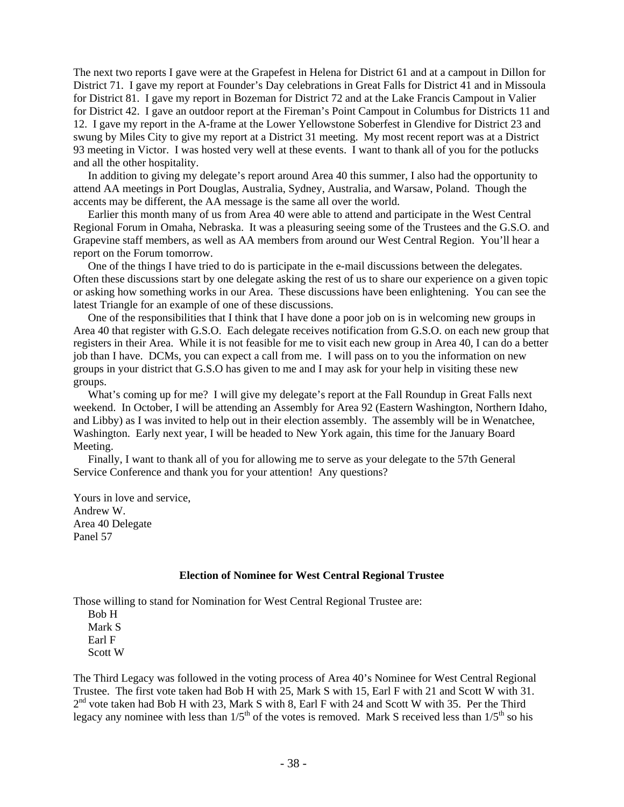The next two reports I gave were at the Grapefest in Helena for District 61 and at a campout in Dillon for District 71. I gave my report at Founder's Day celebrations in Great Falls for District 41 and in Missoula for District 81. I gave my report in Bozeman for District 72 and at the Lake Francis Campout in Valier for District 42. I gave an outdoor report at the Fireman's Point Campout in Columbus for Districts 11 and 12. I gave my report in the A-frame at the Lower Yellowstone Soberfest in Glendive for District 23 and swung by Miles City to give my report at a District 31 meeting. My most recent report was at a District 93 meeting in Victor. I was hosted very well at these events. I want to thank all of you for the potlucks and all the other hospitality.

 In addition to giving my delegate's report around Area 40 this summer, I also had the opportunity to attend AA meetings in Port Douglas, Australia, Sydney, Australia, and Warsaw, Poland. Though the accents may be different, the AA message is the same all over the world.

 Earlier this month many of us from Area 40 were able to attend and participate in the West Central Regional Forum in Omaha, Nebraska. It was a pleasuring seeing some of the Trustees and the G.S.O. and Grapevine staff members, as well as AA members from around our West Central Region. You'll hear a report on the Forum tomorrow.

 One of the things I have tried to do is participate in the e-mail discussions between the delegates. Often these discussions start by one delegate asking the rest of us to share our experience on a given topic or asking how something works in our Area. These discussions have been enlightening. You can see the latest Triangle for an example of one of these discussions.

 One of the responsibilities that I think that I have done a poor job on is in welcoming new groups in Area 40 that register with G.S.O. Each delegate receives notification from G.S.O. on each new group that registers in their Area. While it is not feasible for me to visit each new group in Area 40, I can do a better job than I have. DCMs, you can expect a call from me. I will pass on to you the information on new groups in your district that G.S.O has given to me and I may ask for your help in visiting these new groups.

 What's coming up for me? I will give my delegate's report at the Fall Roundup in Great Falls next weekend. In October, I will be attending an Assembly for Area 92 (Eastern Washington, Northern Idaho, and Libby) as I was invited to help out in their election assembly. The assembly will be in Wenatchee, Washington. Early next year, I will be headed to New York again, this time for the January Board Meeting.

 Finally, I want to thank all of you for allowing me to serve as your delegate to the 57th General Service Conference and thank you for your attention! Any questions?

Yours in love and service, Andrew W. Area 40 Delegate Panel 57

### **Election of Nominee for West Central Regional Trustee**

Those willing to stand for Nomination for West Central Regional Trustee are:

 Bob H Mark S Earl F Scott W

The Third Legacy was followed in the voting process of Area 40's Nominee for West Central Regional Trustee. The first vote taken had Bob H with 25, Mark S with 15, Earl F with 21 and Scott W with 31.  $2<sup>nd</sup>$  vote taken had Bob H with 23, Mark S with 8, Earl F with 24 and Scott W with 35. Per the Third legacy any nominee with less than  $1/5<sup>th</sup>$  of the votes is removed. Mark S received less than  $1/5<sup>th</sup>$  so his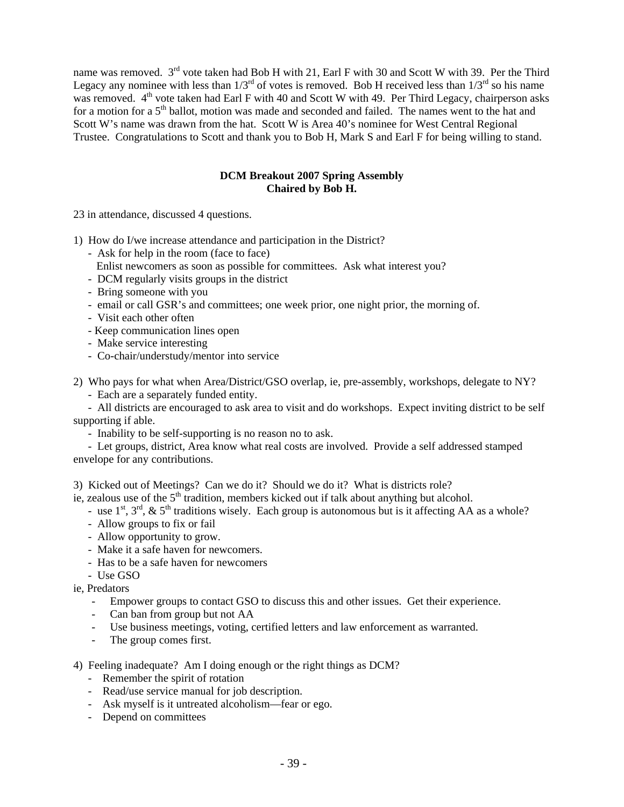name was removed. 3<sup>rd</sup> vote taken had Bob H with 21, Earl F with 30 and Scott W with 39. Per the Third Legacy any nominee with less than  $1/3^{rd}$  of votes is removed. Bob H received less than  $1/3^{rd}$  so his name was removed.  $4<sup>th</sup>$  vote taken had Earl F with 40 and Scott W with 49. Per Third Legacy, chairperson asks for a motion for a 5<sup>th</sup> ballot, motion was made and seconded and failed. The names went to the hat and Scott W's name was drawn from the hat. Scott W is Area 40's nominee for West Central Regional Trustee. Congratulations to Scott and thank you to Bob H, Mark S and Earl F for being willing to stand.

# **DCM Breakout 2007 Spring Assembly Chaired by Bob H.**

23 in attendance, discussed 4 questions.

1) How do I/we increase attendance and participation in the District?

- Ask for help in the room (face to face)
- Enlist newcomers as soon as possible for committees. Ask what interest you?
- DCM regularly visits groups in the district
- Bring someone with you
- email or call GSR's and committees; one week prior, one night prior, the morning of.
- Visit each other often
- Keep communication lines open
- Make service interesting
- Co-chair/understudy/mentor into service

2) Who pays for what when Area/District/GSO overlap, ie, pre-assembly, workshops, delegate to NY?

- Each are a separately funded entity.

 - All districts are encouraged to ask area to visit and do workshops. Expect inviting district to be self supporting if able.

- Inability to be self-supporting is no reason no to ask.

 - Let groups, district, Area know what real costs are involved. Provide a self addressed stamped envelope for any contributions.

3) Kicked out of Meetings? Can we do it? Should we do it? What is districts role?

- ie, zealous use of the  $5<sup>th</sup>$  tradition, members kicked out if talk about anything but alcohol.
	- use  $1^{st}$ ,  $3^{rd}$ ,  $\&$   $5^{th}$  traditions wisely. Each group is autonomous but is it affecting AA as a whole?
	- Allow groups to fix or fail
	- Allow opportunity to grow.
	- Make it a safe haven for newcomers.
	- Has to be a safe haven for newcomers
	- Use GSO

ie, Predators

- Empower groups to contact GSO to discuss this and other issues. Get their experience.
- Can ban from group but not AA
- Use business meetings, voting, certified letters and law enforcement as warranted.
- The group comes first.
- 4) Feeling inadequate? Am I doing enough or the right things as DCM?
	- Remember the spirit of rotation
	- Read/use service manual for job description.
	- Ask myself is it untreated alcoholism—fear or ego.
	- Depend on committees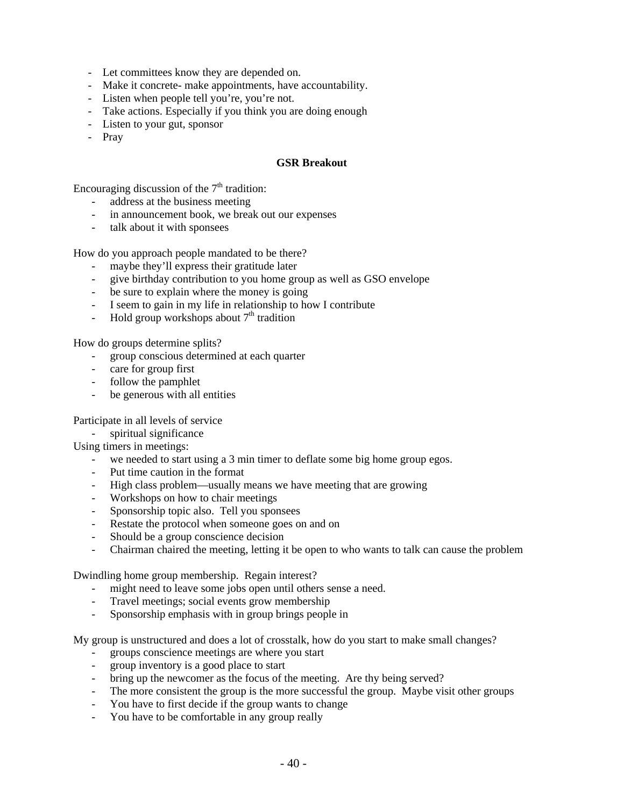- Let committees know they are depended on.
- Make it concrete- make appointments, have accountability.
- Listen when people tell you're, you're not.
- Take actions. Especially if you think you are doing enough
- Listen to your gut, sponsor
- Pray

## **GSR Breakout**

Encouraging discussion of the  $7<sup>th</sup>$  tradition:

- address at the business meeting
- in announcement book, we break out our expenses
- talk about it with sponsees

How do you approach people mandated to be there?

- maybe they'll express their gratitude later
- give birthday contribution to you home group as well as GSO envelope
- be sure to explain where the money is going
- I seem to gain in my life in relationship to how I contribute
- Hold group workshops about  $7<sup>th</sup>$  tradition

How do groups determine splits?

- group conscious determined at each quarter
- care for group first
- follow the pamphlet
- be generous with all entities

Participate in all levels of service

spiritual significance

Using timers in meetings:

- we needed to start using a 3 min timer to deflate some big home group egos.
- Put time caution in the format
- High class problem—usually means we have meeting that are growing
- Workshops on how to chair meetings
- Sponsorship topic also. Tell you sponsees
- Restate the protocol when someone goes on and on
- Should be a group conscience decision
- Chairman chaired the meeting, letting it be open to who wants to talk can cause the problem

Dwindling home group membership. Regain interest?

- might need to leave some jobs open until others sense a need.
- Travel meetings; social events grow membership
- Sponsorship emphasis with in group brings people in

My group is unstructured and does a lot of crosstalk, how do you start to make small changes?

- groups conscience meetings are where you start
- group inventory is a good place to start
- bring up the newcomer as the focus of the meeting. Are thy being served?
- The more consistent the group is the more successful the group. Maybe visit other groups
- You have to first decide if the group wants to change
- You have to be comfortable in any group really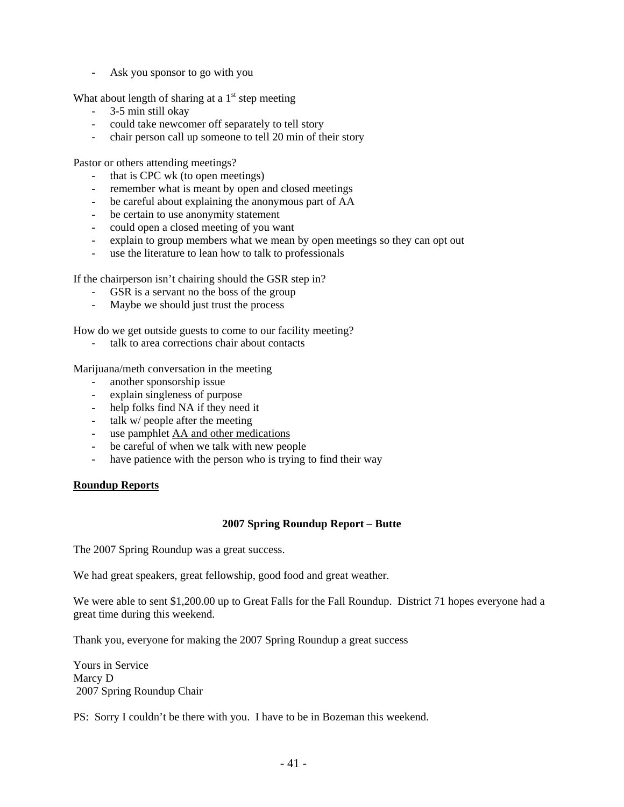Ask you sponsor to go with you

What about length of sharing at a  $1<sup>st</sup>$  step meeting

- 3-5 min still okay
- could take newcomer off separately to tell story
- chair person call up someone to tell 20 min of their story

Pastor or others attending meetings?

- that is CPC wk (to open meetings)
- remember what is meant by open and closed meetings
- be careful about explaining the anonymous part of AA
- be certain to use anonymity statement
- could open a closed meeting of you want
- explain to group members what we mean by open meetings so they can opt out
- use the literature to lean how to talk to professionals

If the chairperson isn't chairing should the GSR step in?

- GSR is a servant no the boss of the group
- Maybe we should just trust the process

How do we get outside guests to come to our facility meeting?

talk to area corrections chair about contacts

Marijuana/meth conversation in the meeting

- another sponsorship issue
- explain singleness of purpose
- help folks find NA if they need it
- talk w/ people after the meeting
- use pamphlet AA and other medications
- be careful of when we talk with new people
- have patience with the person who is trying to find their way

## **Roundup Reports**

### **2007 Spring Roundup Report – Butte**

The 2007 Spring Roundup was a great success.

We had great speakers, great fellowship, good food and great weather.

We were able to sent \$1,200.00 up to Great Falls for the Fall Roundup. District 71 hopes everyone had a great time during this weekend.

Thank you, everyone for making the 2007 Spring Roundup a great success

Yours in Service Marcy D 2007 Spring Roundup Chair

PS: Sorry I couldn't be there with you. I have to be in Bozeman this weekend.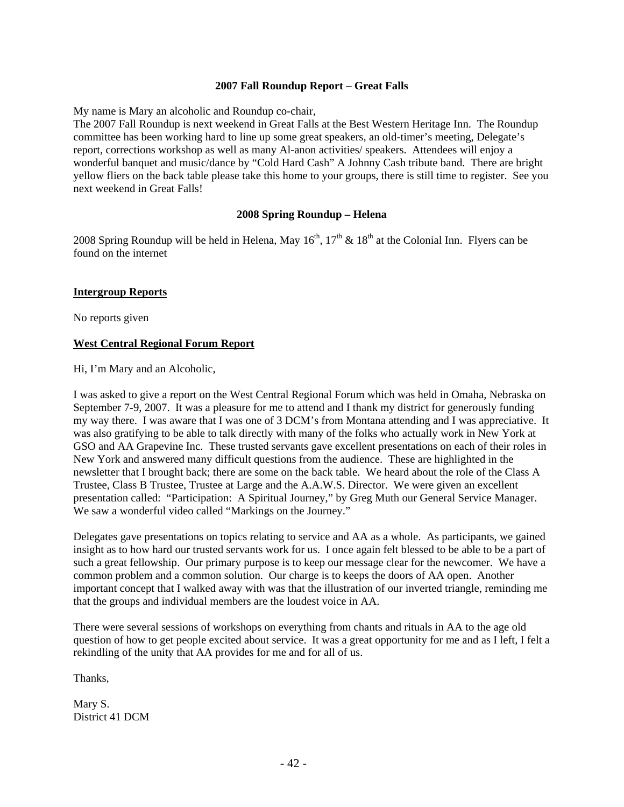## **2007 Fall Roundup Report – Great Falls**

My name is Mary an alcoholic and Roundup co-chair,

The 2007 Fall Roundup is next weekend in Great Falls at the Best Western Heritage Inn. The Roundup committee has been working hard to line up some great speakers, an old-timer's meeting, Delegate's report, corrections workshop as well as many Al-anon activities/ speakers. Attendees will enjoy a wonderful banquet and music/dance by "Cold Hard Cash" A Johnny Cash tribute band. There are bright yellow fliers on the back table please take this home to your groups, there is still time to register. See you next weekend in Great Falls!

### **2008 Spring Roundup – Helena**

2008 Spring Roundup will be held in Helena, May  $16^{th}$ ,  $17^{th}$  &  $18^{th}$  at the Colonial Inn. Flyers can be found on the internet

### **Intergroup Reports**

No reports given

## **West Central Regional Forum Report**

Hi, I'm Mary and an Alcoholic,

I was asked to give a report on the West Central Regional Forum which was held in Omaha, Nebraska on September 7-9, 2007. It was a pleasure for me to attend and I thank my district for generously funding my way there. I was aware that I was one of 3 DCM's from Montana attending and I was appreciative. It was also gratifying to be able to talk directly with many of the folks who actually work in New York at GSO and AA Grapevine Inc. These trusted servants gave excellent presentations on each of their roles in New York and answered many difficult questions from the audience. These are highlighted in the newsletter that I brought back; there are some on the back table. We heard about the role of the Class A Trustee, Class B Trustee, Trustee at Large and the A.A.W.S. Director. We were given an excellent presentation called: "Participation: A Spiritual Journey," by Greg Muth our General Service Manager. We saw a wonderful video called "Markings on the Journey."

Delegates gave presentations on topics relating to service and AA as a whole. As participants, we gained insight as to how hard our trusted servants work for us. I once again felt blessed to be able to be a part of such a great fellowship. Our primary purpose is to keep our message clear for the newcomer. We have a common problem and a common solution. Our charge is to keeps the doors of AA open. Another important concept that I walked away with was that the illustration of our inverted triangle, reminding me that the groups and individual members are the loudest voice in AA.

There were several sessions of workshops on everything from chants and rituals in AA to the age old question of how to get people excited about service. It was a great opportunity for me and as I left, I felt a rekindling of the unity that AA provides for me and for all of us.

Thanks,

Mary S. District 41 DCM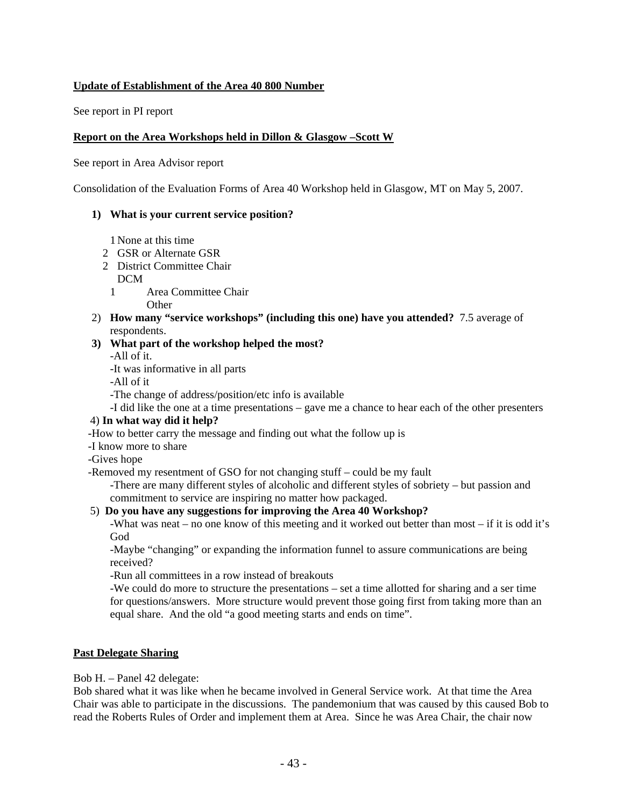# **Update of Establishment of the Area 40 800 Number**

See report in PI report

## **Report on the Area Workshops held in Dillon & Glasgow –Scott W**

See report in Area Advisor report

Consolidation of the Evaluation Forms of Area 40 Workshop held in Glasgow, MT on May 5, 2007.

### **1) What is your current service position?**

1 None at this time

- 2 GSR or Alternate GSR
- 2 District Committee Chair
- DCM
- 1 Area Committee Chair

**Other** 

2) **How many "service workshops" (including this one) have you attended?** 7.5 average of respondents.

## **3) What part of the workshop helped the most?**

-All of it.

-It was informative in all parts

-All of it

-The change of address/position/etc info is available

-I did like the one at a time presentations – gave me a chance to hear each of the other presenters

# 4) **In what way did it help?**

-How to better carry the message and finding out what the follow up is

- -I know more to share
- -Gives hope

-Removed my resentment of GSO for not changing stuff – could be my fault

-There are many different styles of alcoholic and different styles of sobriety – but passion and commitment to service are inspiring no matter how packaged.

# 5) **Do you have any suggestions for improving the Area 40 Workshop?**

-What was neat – no one know of this meeting and it worked out better than most – if it is odd it's God

-Maybe "changing" or expanding the information funnel to assure communications are being received?

-Run all committees in a row instead of breakouts

-We could do more to structure the presentations – set a time allotted for sharing and a ser time for questions/answers. More structure would prevent those going first from taking more than an equal share. And the old "a good meeting starts and ends on time".

## **Past Delegate Sharing**

Bob H. – Panel 42 delegate:

Bob shared what it was like when he became involved in General Service work. At that time the Area Chair was able to participate in the discussions. The pandemonium that was caused by this caused Bob to read the Roberts Rules of Order and implement them at Area. Since he was Area Chair, the chair now